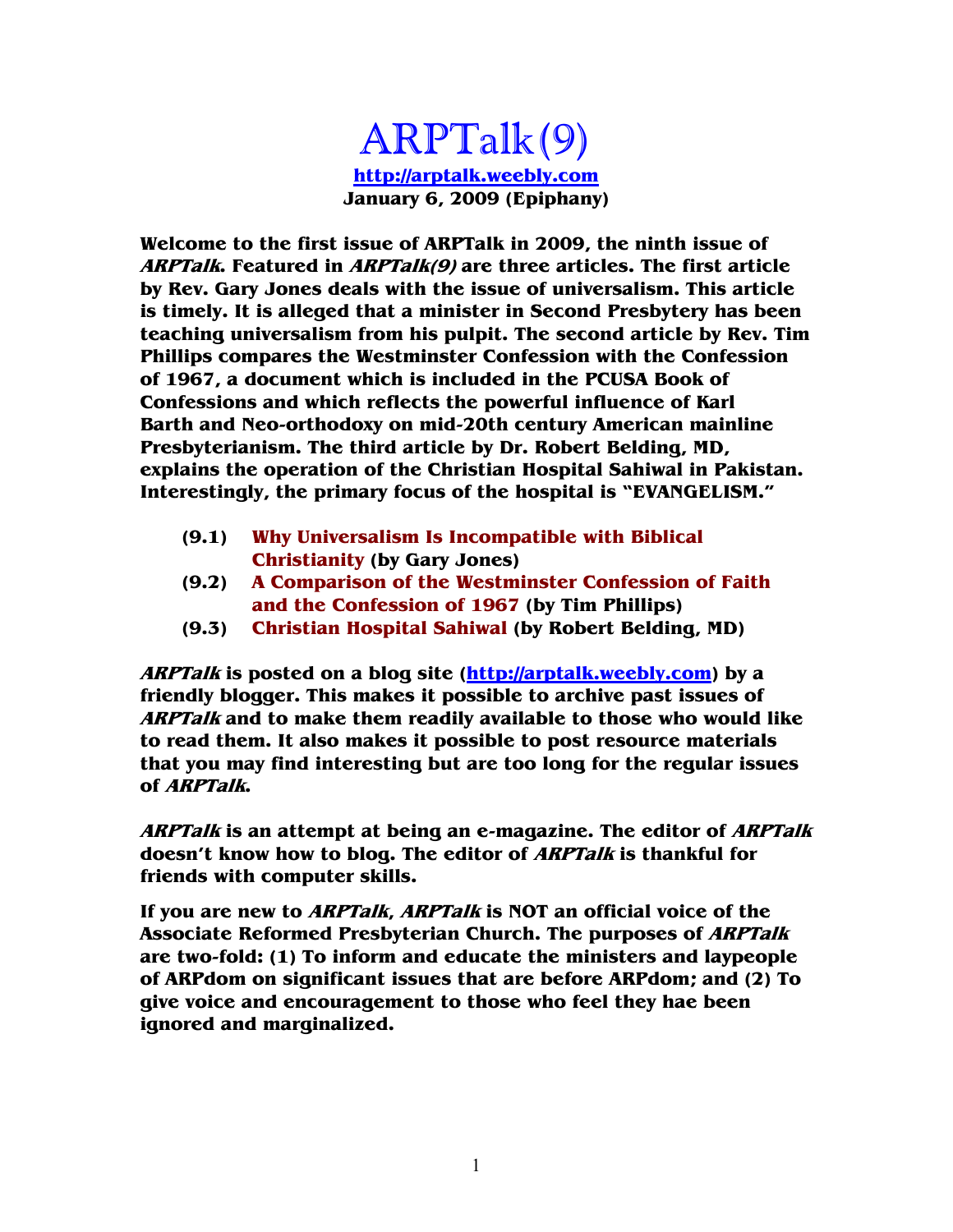ARPTalk(9) **http://arptalk.weebly.com January 6, 2009 (Epiphany)** 

**Welcome to the first issue of ARPTalk in 2009, the ninth issue of ARPTalk. Featured in ARPTalk(9) are three articles. The first article by Rev. Gary Jones deals with the issue of universalism. This article is timely. It is alleged that a minister in Second Presbytery has been teaching universalism from his pulpit. The second article by Rev. Tim Phillips compares the Westminster Confession with the Confession of 1967, a document which is included in the PCUSA Book of Confessions and which reflects the powerful influence of Karl Barth and Neo-orthodoxy on mid-20th century American mainline Presbyterianism. The third article by Dr. Robert Belding, MD, explains the operation of the Christian Hospital Sahiwal in Pakistan. Interestingly, the primary focus of the hospital is "EVANGELISM."** 

- **(9.1) Why Universalism Is Incompatible with Biblical Christianity (by Gary Jones)**
- **(9.2) A Comparison of the Westminster Confession of Faith and the Confession of 1967 (by Tim Phillips)**
- **(9.3) Christian Hospital Sahiwal (by Robert Belding, MD)**

**ARPTalk is posted on a blog site (http://arptalk.weebly.com) by a friendly blogger. This makes it possible to archive past issues of ARPTalk and to make them readily available to those who would like to read them. It also makes it possible to post resource materials that you may find interesting but are too long for the regular issues of ARPTalk.** 

**ARPTalk is an attempt at being an e-magazine. The editor of ARPTalk doesn't know how to blog. The editor of ARPTalk is thankful for friends with computer skills.** 

**If you are new to ARPTalk, ARPTalk is NOT an official voice of the Associate Reformed Presbyterian Church. The purposes of ARPTalk are two-fold: (1) To inform and educate the ministers and laypeople of ARPdom on significant issues that are before ARPdom; and (2) To give voice and encouragement to those who feel they hae been ignored and marginalized.**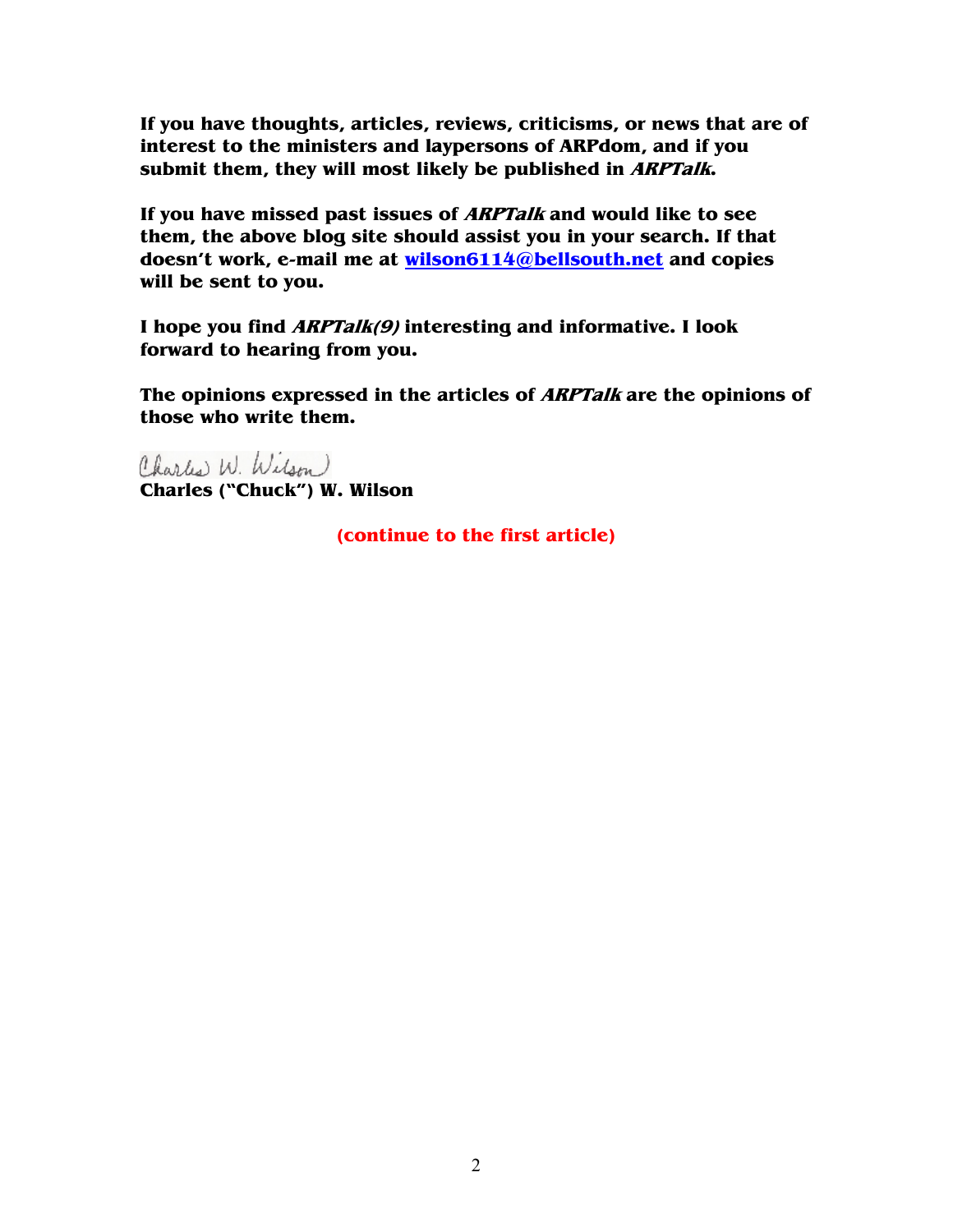**If you have thoughts, articles, reviews, criticisms, or news that are of interest to the ministers and laypersons of ARPdom, and if you submit them, they will most likely be published in ARPTalk.** 

**If you have missed past issues of ARPTalk and would like to see them, the above blog site should assist you in your search. If that doesn't work, e-mail me at wilson6114@bellsouth.net and copies will be sent to you.** 

**I hope you find ARPTalk(9) interesting and informative. I look forward to hearing from you.** 

**The opinions expressed in the articles of ARPTalk are the opinions of those who write them.** 

Charles W. Wilson **Charles ("Chuck") W. Wilson** 

**(continue to the first article)**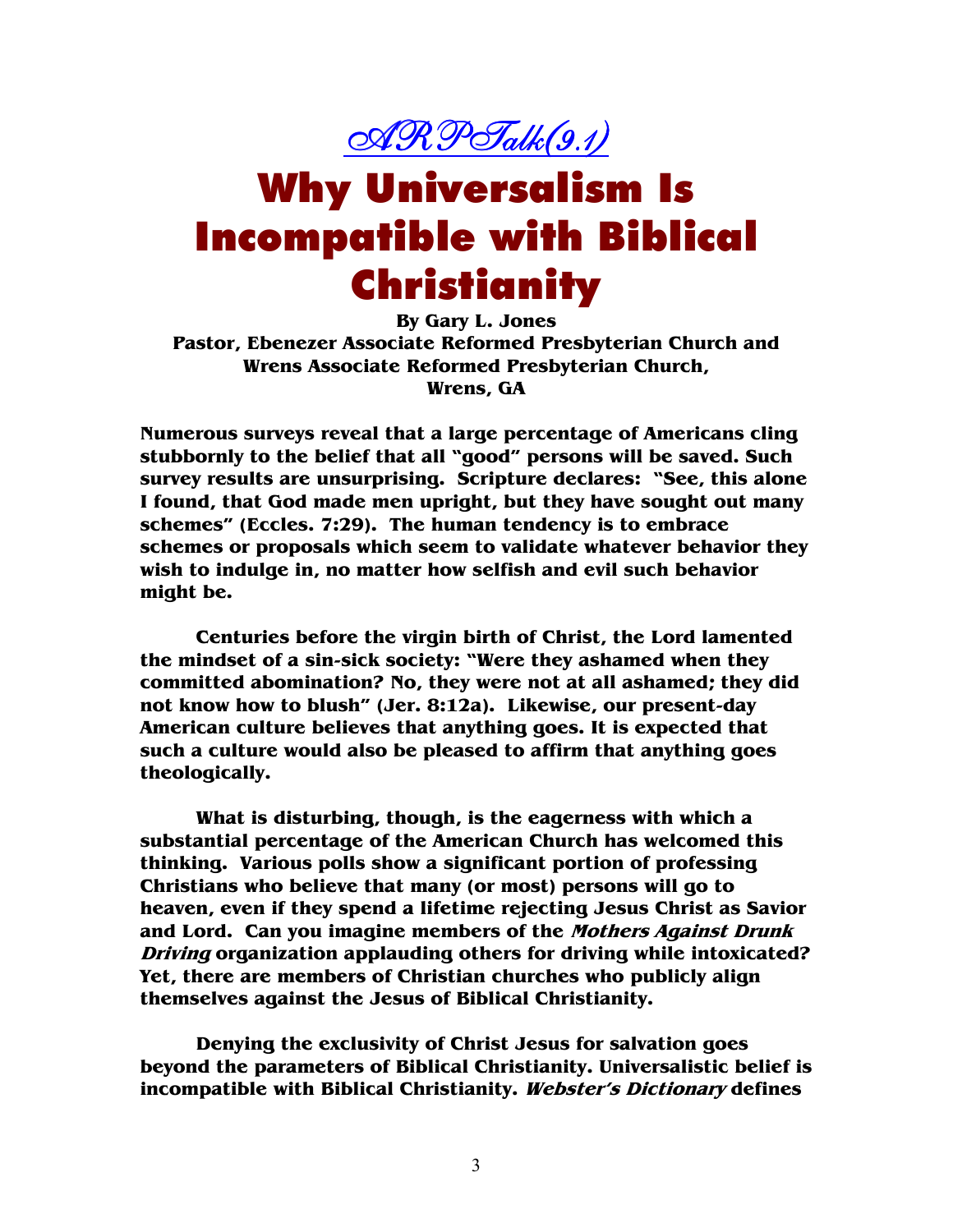

## Why Universalism Is Incompatible with Biblical Christianity

**By Gary L. Jones Pastor, Ebenezer Associate Reformed Presbyterian Church and Wrens Associate Reformed Presbyterian Church, Wrens, GA** 

**Numerous surveys reveal that a large percentage of Americans cling stubbornly to the belief that all "good" persons will be saved. Such survey results are unsurprising. Scripture declares: "See, this alone I found, that God made men upright, but they have sought out many schemes" (Eccles. 7:29). The human tendency is to embrace schemes or proposals which seem to validate whatever behavior they wish to indulge in, no matter how selfish and evil such behavior might be.** 

**Centuries before the virgin birth of Christ, the Lord lamented the mindset of a sin-sick society: "Were they ashamed when they committed abomination? No, they were not at all ashamed; they did not know how to blush" (Jer. 8:12a). Likewise, our present-day American culture believes that anything goes. It is expected that such a culture would also be pleased to affirm that anything goes theologically.** 

**What is disturbing, though, is the eagerness with which a substantial percentage of the American Church has welcomed this thinking. Various polls show a significant portion of professing Christians who believe that many (or most) persons will go to heaven, even if they spend a lifetime rejecting Jesus Christ as Savior and Lord. Can you imagine members of the Mothers Against Drunk Driving organization applauding others for driving while intoxicated? Yet, there are members of Christian churches who publicly align themselves against the Jesus of Biblical Christianity.** 

**Denying the exclusivity of Christ Jesus for salvation goes beyond the parameters of Biblical Christianity. Universalistic belief is incompatible with Biblical Christianity. Webster's Dictionary defines**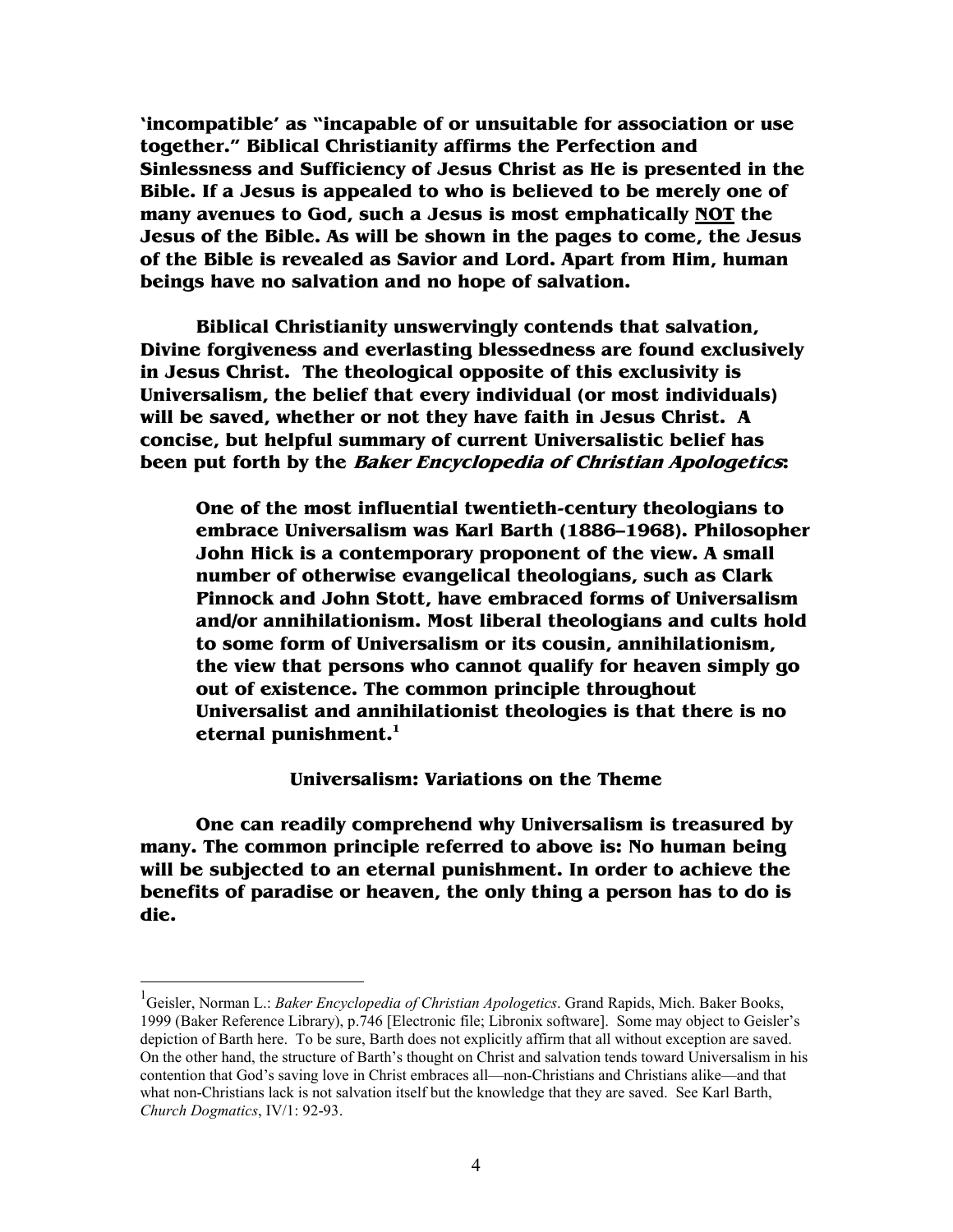**'incompatible' as "incapable of or unsuitable for association or use together." Biblical Christianity affirms the Perfection and Sinlessness and Sufficiency of Jesus Christ as He is presented in the Bible. If a Jesus is appealed to who is believed to be merely one of many avenues to God, such a Jesus is most emphatically NOT the Jesus of the Bible. As will be shown in the pages to come, the Jesus of the Bible is revealed as Savior and Lord. Apart from Him, human beings have no salvation and no hope of salvation.** 

**Biblical Christianity unswervingly contends that salvation, Divine forgiveness and everlasting blessedness are found exclusively in Jesus Christ. The theological opposite of this exclusivity is Universalism, the belief that every individual (or most individuals) will be saved, whether or not they have faith in Jesus Christ. A concise, but helpful summary of current Universalistic belief has been put forth by the Baker Encyclopedia of Christian Apologetics:** 

**One of the most influential twentieth-century theologians to embrace Universalism was Karl Barth (1886–1968). Philosopher John Hick is a contemporary proponent of the view. A small number of otherwise evangelical theologians, such as Clark Pinnock and John Stott, have embraced forms of Universalism and/or annihilationism. Most liberal theologians and cults hold to some form of Universalism or its cousin, annihilationism, the view that persons who cannot qualify for heaven simply go out of existence. The common principle throughout Universalist and annihilationist theologies is that there is no eternal punishment.<sup>1</sup>** 

**Universalism: Variations on the Theme** 

 **One can readily comprehend why Universalism is treasured by many. The common principle referred to above is: No human being will be subjected to an eternal punishment. In order to achieve the benefits of paradise or heaven, the only thing a person has to do is die.** 

<sup>1</sup> Geisler, Norman L.: *Baker Encyclopedia of Christian Apologetics*. Grand Rapids, Mich. Baker Books, 1999 (Baker Reference Library), p.746 [Electronic file; Libronix software]. Some may object to Geisler's depiction of Barth here. To be sure, Barth does not explicitly affirm that all without exception are saved. On the other hand, the structure of Barth's thought on Christ and salvation tends toward Universalism in his contention that God's saving love in Christ embraces all—non-Christians and Christians alike—and that what non-Christians lack is not salvation itself but the knowledge that they are saved. See Karl Barth, *Church Dogmatics*, IV/1: 92-93.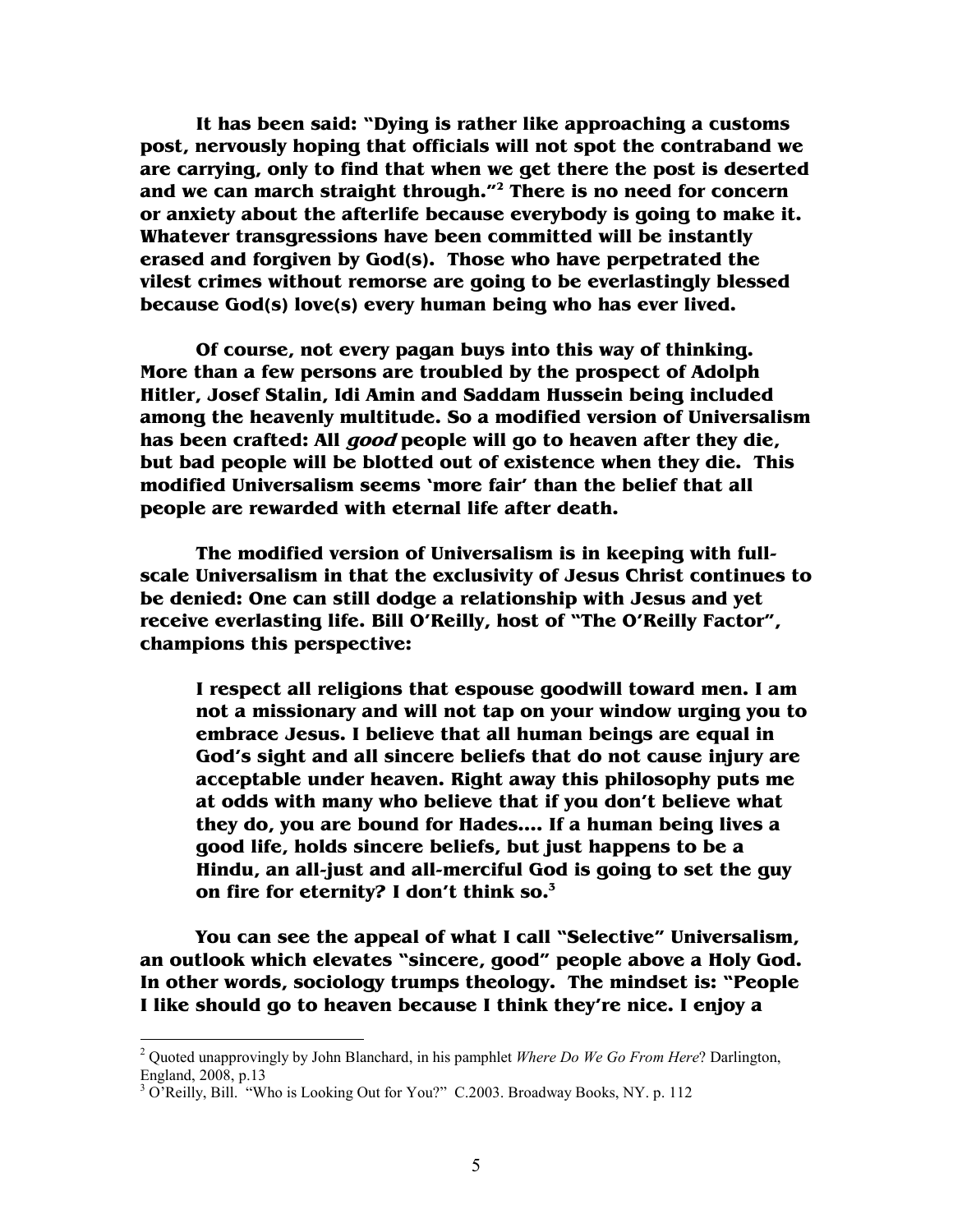**It has been said: "Dying is rather like approaching a customs post, nervously hoping that officials will not spot the contraband we are carrying, only to find that when we get there the post is deserted and we can march straight through."<sup>2</sup> There is no need for concern or anxiety about the afterlife because everybody is going to make it. Whatever transgressions have been committed will be instantly erased and forgiven by God(s). Those who have perpetrated the vilest crimes without remorse are going to be everlastingly blessed because God(s) love(s) every human being who has ever lived.** 

**Of course, not every pagan buys into this way of thinking. More than a few persons are troubled by the prospect of Adolph Hitler, Josef Stalin, Idi Amin and Saddam Hussein being included among the heavenly multitude. So a modified version of Universalism has been crafted: All good people will go to heaven after they die, but bad people will be blotted out of existence when they die. This modified Universalism seems 'more fair' than the belief that all people are rewarded with eternal life after death.** 

**The modified version of Universalism is in keeping with fullscale Universalism in that the exclusivity of Jesus Christ continues to be denied: One can still dodge a relationship with Jesus and yet receive everlasting life. Bill O'Reilly, host of "The O'Reilly Factor", champions this perspective:** 

**I respect all religions that espouse goodwill toward men. I am not a missionary and will not tap on your window urging you to embrace Jesus. I believe that all human beings are equal in God's sight and all sincere beliefs that do not cause injury are acceptable under heaven. Right away this philosophy puts me at odds with many who believe that if you don't believe what they do, you are bound for Hades.… If a human being lives a good life, holds sincere beliefs, but just happens to be a Hindu, an all-just and all-merciful God is going to set the guy on fire for eternity? I don't think so.<sup>3</sup>**

 **You can see the appeal of what I call "Selective" Universalism, an outlook which elevates "sincere, good" people above a Holy God. In other words, sociology trumps theology. The mindset is: "People I like should go to heaven because I think they're nice. I enjoy a** 

<sup>2</sup> Quoted unapprovingly by John Blanchard, in his pamphlet *Where Do We Go From Here*? Darlington, England, 2008, p.13

<sup>&</sup>lt;sup>3</sup> O'Reilly, Bill. "Who is Looking Out for You?" C.2003. Broadway Books, NY. p. 112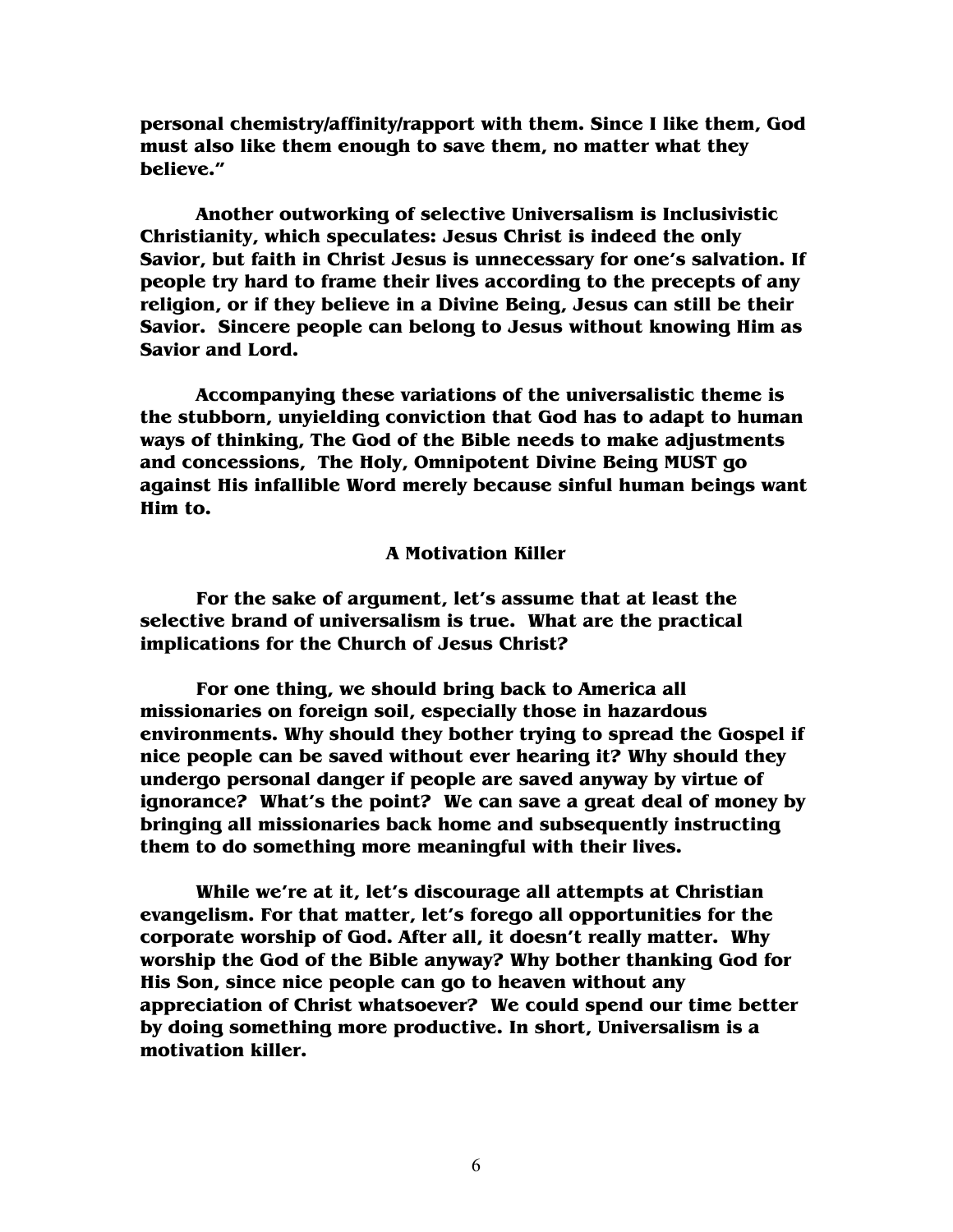**personal chemistry/affinity/rapport with them. Since I like them, God must also like them enough to save them, no matter what they believe."** 

 **Another outworking of selective Universalism is Inclusivistic Christianity, which speculates: Jesus Christ is indeed the only Savior, but faith in Christ Jesus is unnecessary for one's salvation. If people try hard to frame their lives according to the precepts of any religion, or if they believe in a Divine Being, Jesus can still be their Savior. Sincere people can belong to Jesus without knowing Him as Savior and Lord.** 

**Accompanying these variations of the universalistic theme is the stubborn, unyielding conviction that God has to adapt to human ways of thinking, The God of the Bible needs to make adjustments and concessions, The Holy, Omnipotent Divine Being MUST go against His infallible Word merely because sinful human beings want Him to.** 

#### **A Motivation Killer**

**For the sake of argument, let's assume that at least the selective brand of universalism is true. What are the practical implications for the Church of Jesus Christ?** 

**For one thing, we should bring back to America all missionaries on foreign soil, especially those in hazardous environments. Why should they bother trying to spread the Gospel if nice people can be saved without ever hearing it? Why should they undergo personal danger if people are saved anyway by virtue of ignorance? What's the point? We can save a great deal of money by bringing all missionaries back home and subsequently instructing them to do something more meaningful with their lives.** 

**While we're at it, let's discourage all attempts at Christian evangelism. For that matter, let's forego all opportunities for the corporate worship of God. After all, it doesn't really matter. Why worship the God of the Bible anyway? Why bother thanking God for His Son, since nice people can go to heaven without any appreciation of Christ whatsoever? We could spend our time better by doing something more productive. In short, Universalism is a motivation killer.**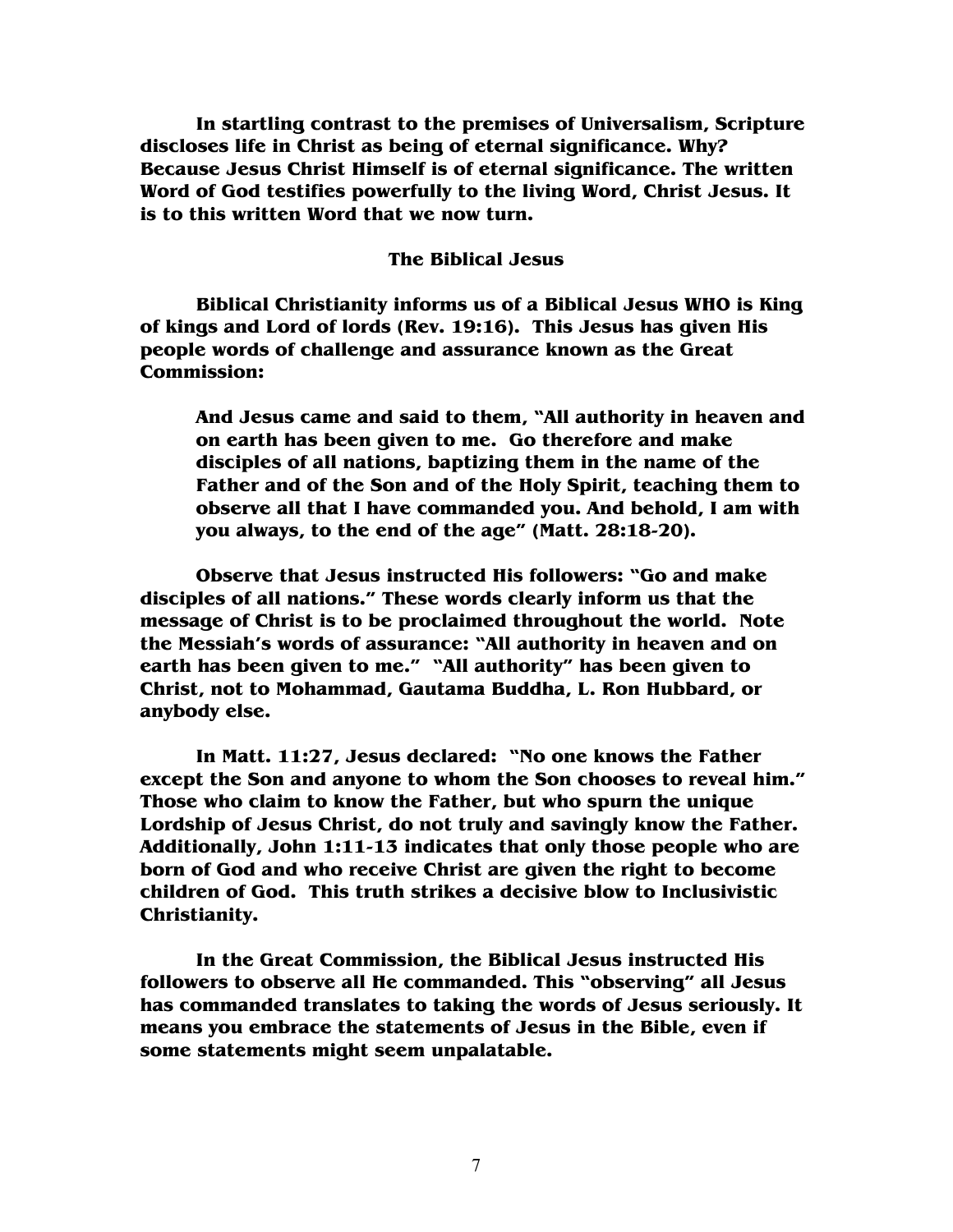**In startling contrast to the premises of Universalism, Scripture discloses life in Christ as being of eternal significance. Why? Because Jesus Christ Himself is of eternal significance. The written Word of God testifies powerfully to the living Word, Christ Jesus. It is to this written Word that we now turn.** 

#### **The Biblical Jesus**

 **Biblical Christianity informs us of a Biblical Jesus WHO is King of kings and Lord of lords (Rev. 19:16). This Jesus has given His people words of challenge and assurance known as the Great Commission:** 

**And Jesus came and said to them, "All authority in heaven and on earth has been given to me. Go therefore and make disciples of all nations, baptizing them in the name of the Father and of the Son and of the Holy Spirit, teaching them to observe all that I have commanded you. And behold, I am with you always, to the end of the age" (Matt. 28:18-20).** 

**Observe that Jesus instructed His followers: "Go and make disciples of all nations." These words clearly inform us that the message of Christ is to be proclaimed throughout the world. Note the Messiah's words of assurance: "All authority in heaven and on earth has been given to me." "All authority" has been given to Christ, not to Mohammad, Gautama Buddha, L. Ron Hubbard, or anybody else.** 

**In Matt. 11:27, Jesus declared: "No one knows the Father except the Son and anyone to whom the Son chooses to reveal him." Those who claim to know the Father, but who spurn the unique Lordship of Jesus Christ, do not truly and savingly know the Father. Additionally, John 1:11-13 indicates that only those people who are born of God and who receive Christ are given the right to become children of God. This truth strikes a decisive blow to Inclusivistic Christianity.** 

**In the Great Commission, the Biblical Jesus instructed His followers to observe all He commanded. This "observing" all Jesus has commanded translates to taking the words of Jesus seriously. It means you embrace the statements of Jesus in the Bible, even if some statements might seem unpalatable.**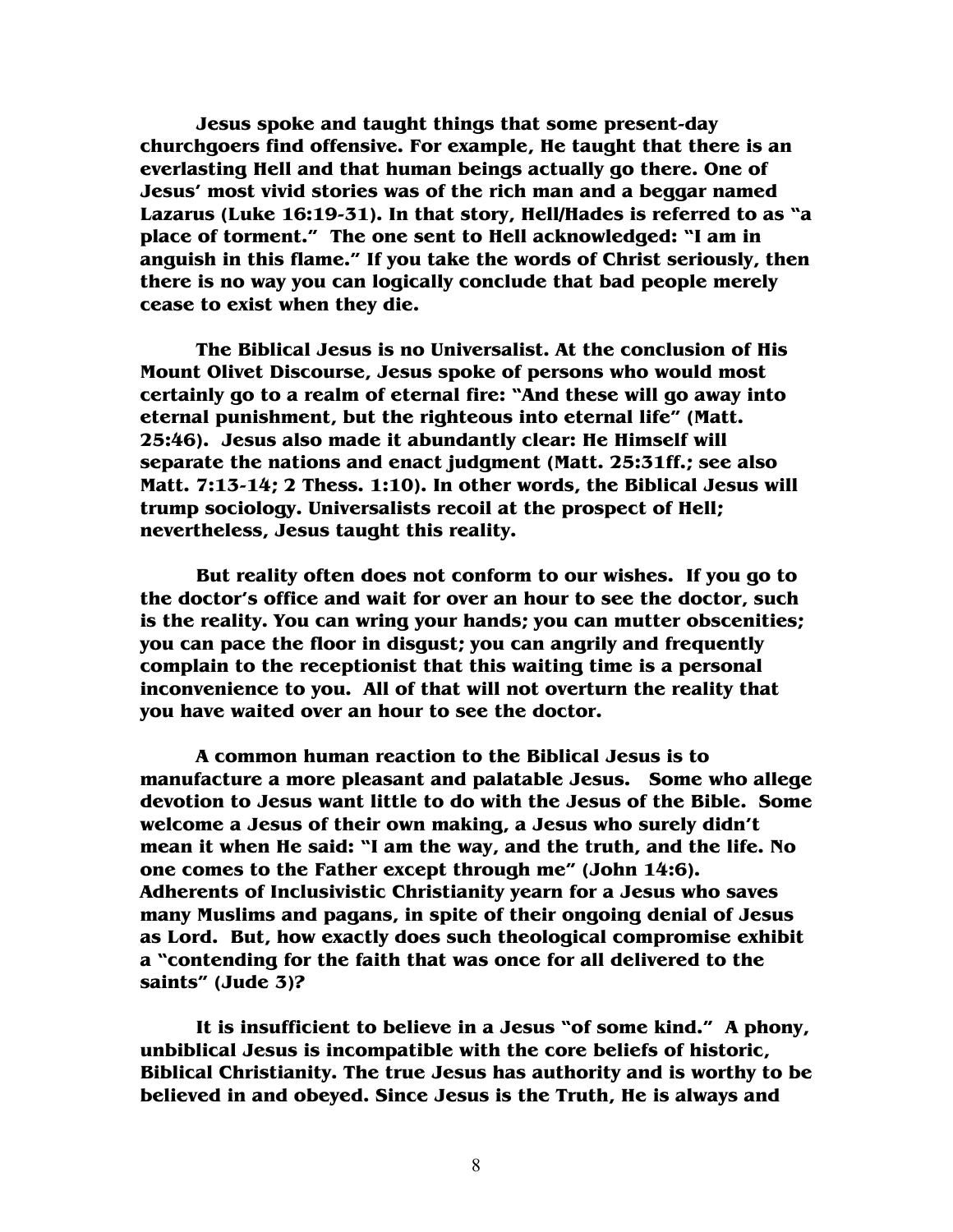**Jesus spoke and taught things that some present-day churchgoers find offensive. For example, He taught that there is an everlasting Hell and that human beings actually go there. One of Jesus' most vivid stories was of the rich man and a beggar named Lazarus (Luke 16:19-31). In that story, Hell/Hades is referred to as "a place of torment." The one sent to Hell acknowledged: "I am in anguish in this flame." If you take the words of Christ seriously, then there is no way you can logically conclude that bad people merely cease to exist when they die.** 

**The Biblical Jesus is no Universalist. At the conclusion of His Mount Olivet Discourse, Jesus spoke of persons who would most certainly go to a realm of eternal fire: "And these will go away into eternal punishment, but the righteous into eternal life" (Matt. 25:46). Jesus also made it abundantly clear: He Himself will separate the nations and enact judgment (Matt. 25:31ff.; see also Matt. 7:13-14; 2 Thess. 1:10). In other words, the Biblical Jesus will trump sociology. Universalists recoil at the prospect of Hell; nevertheless, Jesus taught this reality.** 

**But reality often does not conform to our wishes. If you go to the doctor's office and wait for over an hour to see the doctor, such is the reality. You can wring your hands; you can mutter obscenities; you can pace the floor in disgust; you can angrily and frequently complain to the receptionist that this waiting time is a personal inconvenience to you. All of that will not overturn the reality that you have waited over an hour to see the doctor.** 

**A common human reaction to the Biblical Jesus is to manufacture a more pleasant and palatable Jesus. Some who allege devotion to Jesus want little to do with the Jesus of the Bible. Some welcome a Jesus of their own making, a Jesus who surely didn't mean it when He said: "I am the way, and the truth, and the life. No one comes to the Father except through me" (John 14:6). Adherents of Inclusivistic Christianity yearn for a Jesus who saves many Muslims and pagans, in spite of their ongoing denial of Jesus as Lord. But, how exactly does such theological compromise exhibit a "contending for the faith that was once for all delivered to the saints" (Jude 3)?** 

**It is insufficient to believe in a Jesus "of some kind." A phony, unbiblical Jesus is incompatible with the core beliefs of historic, Biblical Christianity. The true Jesus has authority and is worthy to be believed in and obeyed. Since Jesus is the Truth, He is always and**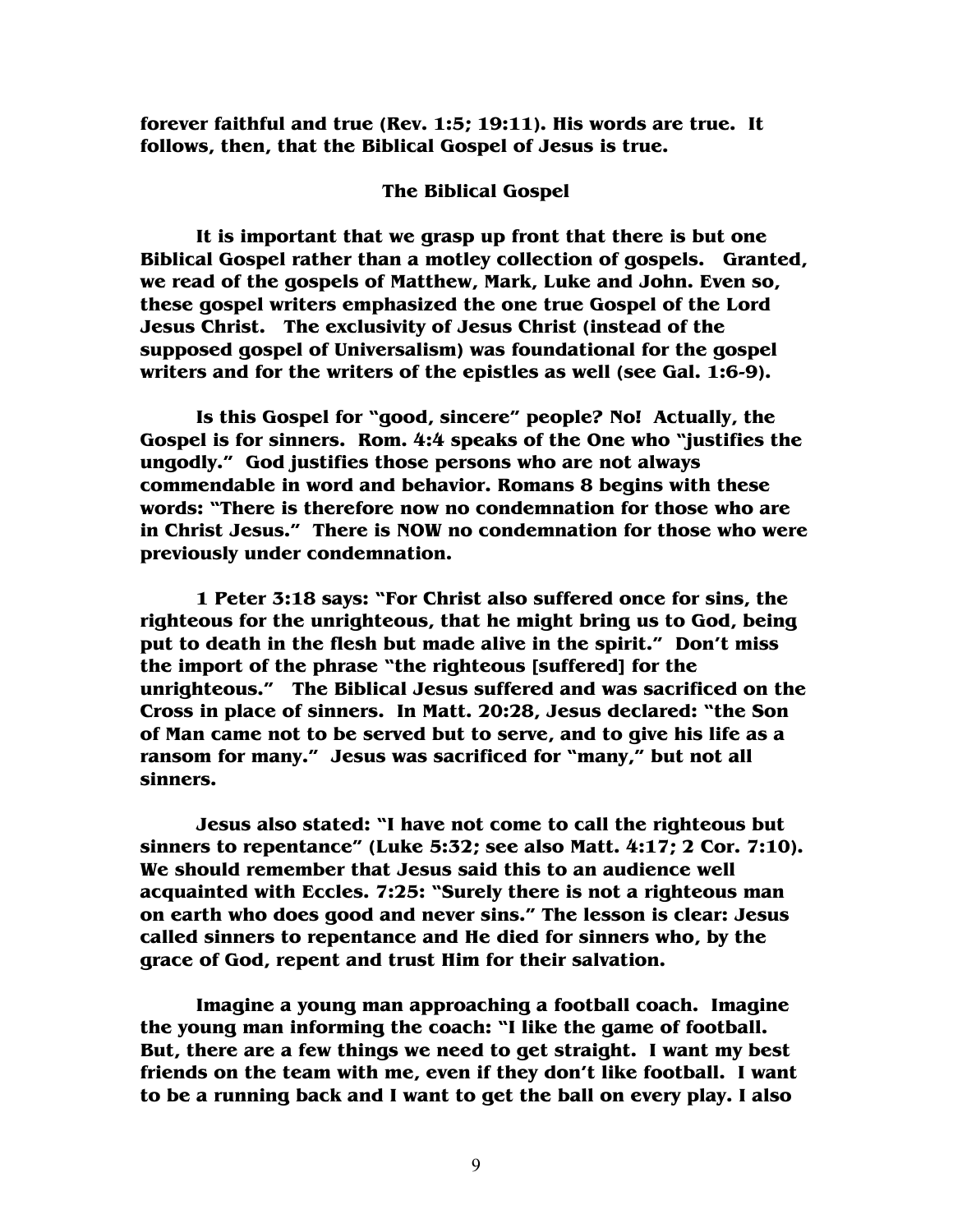**forever faithful and true (Rev. 1:5; 19:11). His words are true. It follows, then, that the Biblical Gospel of Jesus is true.** 

#### **The Biblical Gospel**

 **It is important that we grasp up front that there is but one Biblical Gospel rather than a motley collection of gospels. Granted, we read of the gospels of Matthew, Mark, Luke and John. Even so, these gospel writers emphasized the one true Gospel of the Lord Jesus Christ. The exclusivity of Jesus Christ (instead of the supposed gospel of Universalism) was foundational for the gospel writers and for the writers of the epistles as well (see Gal. 1:6-9).** 

 **Is this Gospel for "good, sincere" people? No! Actually, the Gospel is for sinners. Rom. 4:4 speaks of the One who "justifies the ungodly." God justifies those persons who are not always commendable in word and behavior. Romans 8 begins with these words: "There is therefore now no condemnation for those who are in Christ Jesus." There is NOW no condemnation for those who were previously under condemnation.** 

 **1 Peter 3:18 says: "For Christ also suffered once for sins, the righteous for the unrighteous, that he might bring us to God, being put to death in the flesh but made alive in the spirit." Don't miss the import of the phrase "the righteous [suffered] for the unrighteous." The Biblical Jesus suffered and was sacrificed on the Cross in place of sinners. In Matt. 20:28, Jesus declared: "the Son of Man came not to be served but to serve, and to give his life as a ransom for many." Jesus was sacrificed for "many," but not all sinners.** 

**Jesus also stated: "I have not come to call the righteous but sinners to repentance" (Luke 5:32; see also Matt. 4:17; 2 Cor. 7:10). We should remember that Jesus said this to an audience well acquainted with Eccles. 7:25: "Surely there is not a righteous man on earth who does good and never sins." The lesson is clear: Jesus called sinners to repentance and He died for sinners who, by the grace of God, repent and trust Him for their salvation.** 

 **Imagine a young man approaching a football coach. Imagine the young man informing the coach: "I like the game of football. But, there are a few things we need to get straight. I want my best friends on the team with me, even if they don't like football. I want to be a running back and I want to get the ball on every play. I also**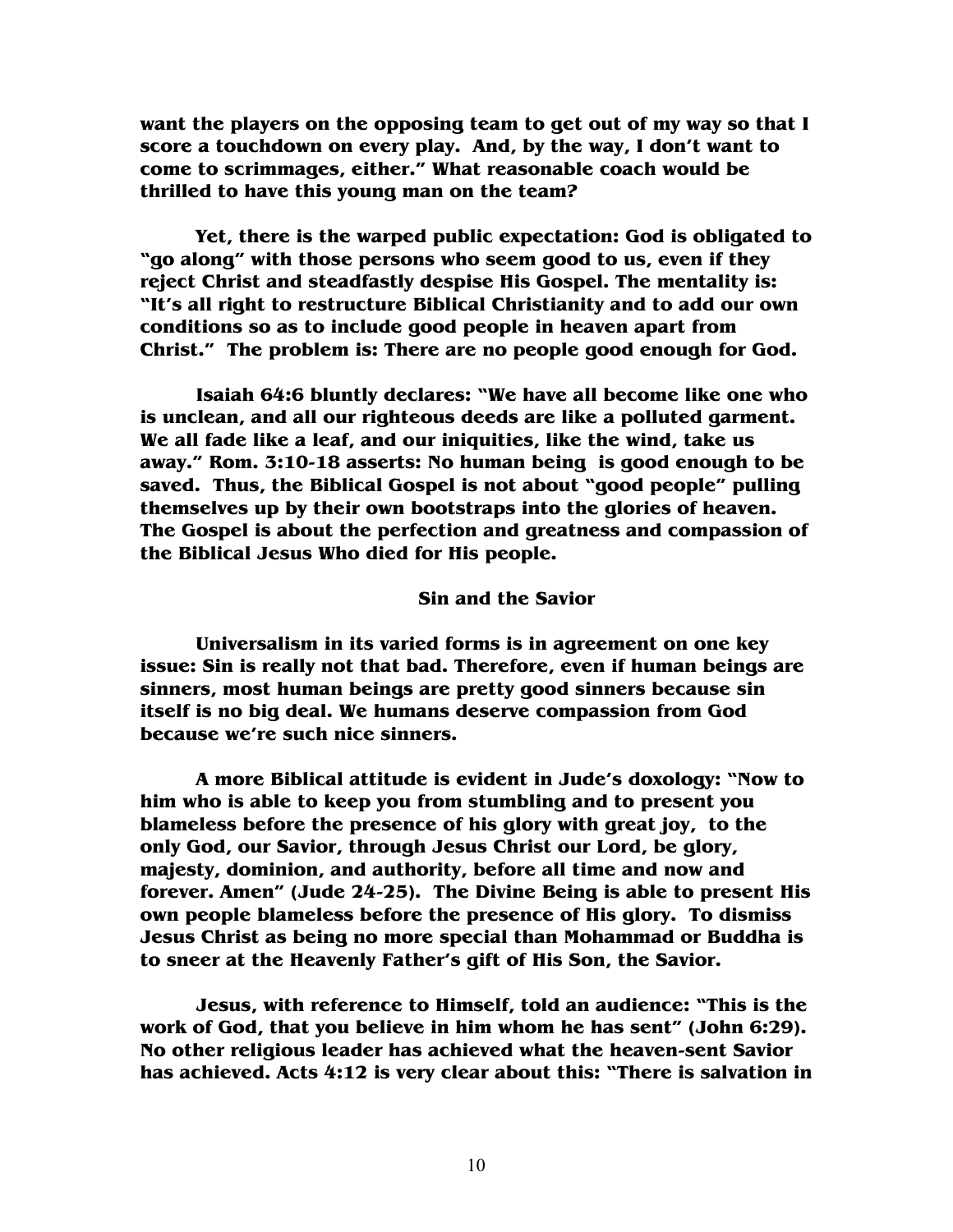**want the players on the opposing team to get out of my way so that I score a touchdown on every play. And, by the way, I don't want to come to scrimmages, either." What reasonable coach would be thrilled to have this young man on the team?** 

**Yet, there is the warped public expectation: God is obligated to "go along" with those persons who seem good to us, even if they reject Christ and steadfastly despise His Gospel. The mentality is: "It's all right to restructure Biblical Christianity and to add our own conditions so as to include good people in heaven apart from Christ." The problem is: There are no people good enough for God.** 

 **Isaiah 64:6 bluntly declares: "We have all become like one who is unclean, and all our righteous deeds are like a polluted garment. We all fade like a leaf, and our iniquities, like the wind, take us away." Rom. 3:10-18 asserts: No human being is good enough to be saved. Thus, the Biblical Gospel is not about "good people" pulling themselves up by their own bootstraps into the glories of heaven. The Gospel is about the perfection and greatness and compassion of the Biblical Jesus Who died for His people.** 

#### **Sin and the Savior**

**Universalism in its varied forms is in agreement on one key issue: Sin is really not that bad. Therefore, even if human beings are sinners, most human beings are pretty good sinners because sin itself is no big deal. We humans deserve compassion from God because we're such nice sinners.** 

**A more Biblical attitude is evident in Jude's doxology: "Now to him who is able to keep you from stumbling and to present you blameless before the presence of his glory with great joy, to the only God, our Savior, through Jesus Christ our Lord, be glory, majesty, dominion, and authority, before all time and now and forever. Amen" (Jude 24-25). The Divine Being is able to present His own people blameless before the presence of His glory. To dismiss Jesus Christ as being no more special than Mohammad or Buddha is to sneer at the Heavenly Father's gift of His Son, the Savior.** 

**Jesus, with reference to Himself, told an audience: "This is the work of God, that you believe in him whom he has sent" (John 6:29). No other religious leader has achieved what the heaven-sent Savior has achieved. Acts 4:12 is very clear about this: "There is salvation in**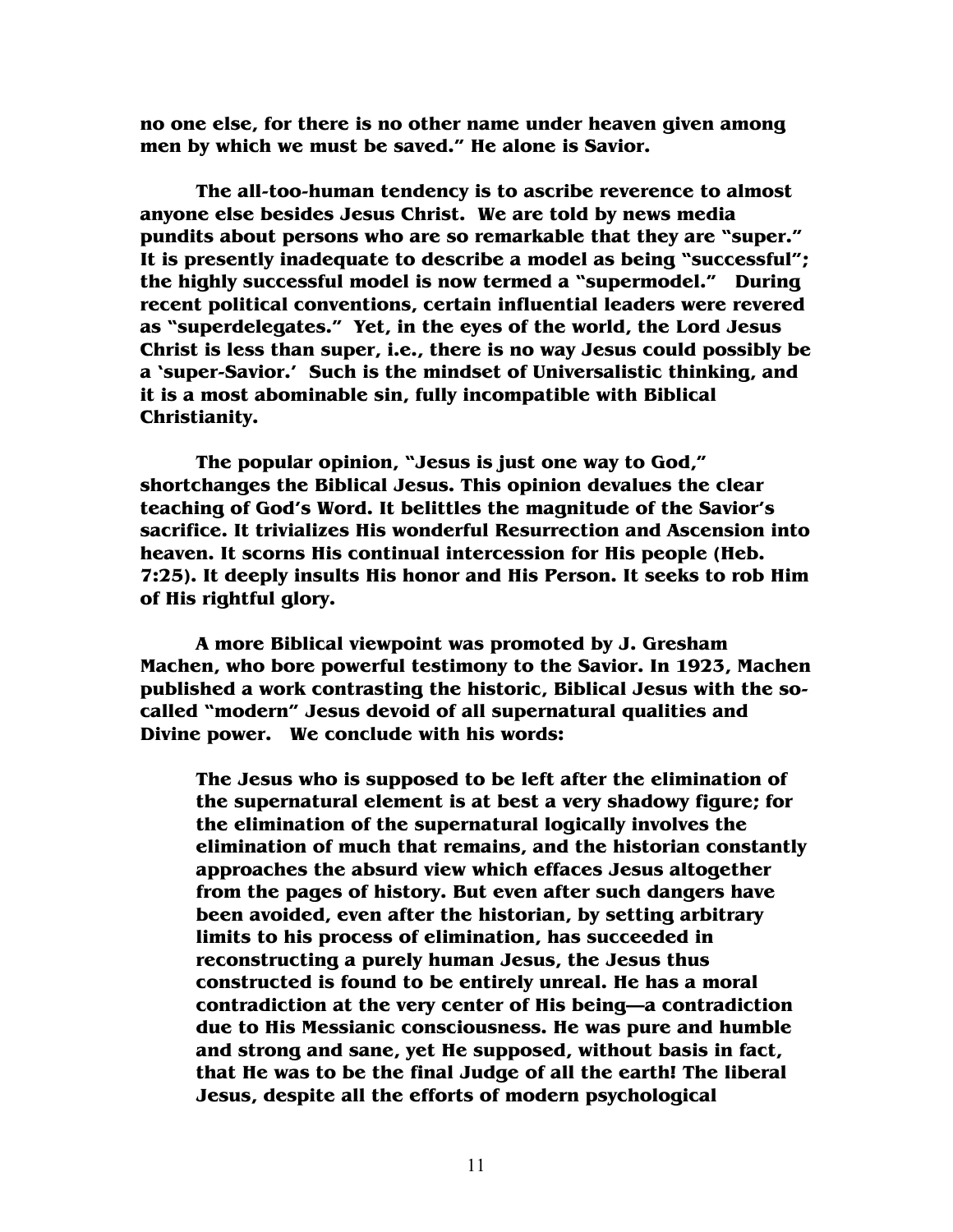**no one else, for there is no other name under heaven given among men by which we must be saved." He alone is Savior.**

 **The all-too-human tendency is to ascribe reverence to almost anyone else besides Jesus Christ. We are told by news media pundits about persons who are so remarkable that they are "super." It is presently inadequate to describe a model as being "successful"; the highly successful model is now termed a "supermodel." During recent political conventions, certain influential leaders were revered as "superdelegates." Yet, in the eyes of the world, the Lord Jesus Christ is less than super, i.e., there is no way Jesus could possibly be a 'super-Savior.' Such is the mindset of Universalistic thinking, and it is a most abominable sin, fully incompatible with Biblical Christianity.** 

**The popular opinion, "Jesus is just one way to God," shortchanges the Biblical Jesus. This opinion devalues the clear teaching of God's Word. It belittles the magnitude of the Savior's sacrifice. It trivializes His wonderful Resurrection and Ascension into heaven. It scorns His continual intercession for His people (Heb. 7:25). It deeply insults His honor and His Person. It seeks to rob Him of His rightful glory.** 

**A more Biblical viewpoint was promoted by J. Gresham Machen, who bore powerful testimony to the Savior. In 1923, Machen published a work contrasting the historic, Biblical Jesus with the socalled "modern" Jesus devoid of all supernatural qualities and Divine power. We conclude with his words:** 

**The Jesus who is supposed to be left after the elimination of the supernatural element is at best a very shadowy figure; for the elimination of the supernatural logically involves the elimination of much that remains, and the historian constantly approaches the absurd view which effaces Jesus altogether from the pages of history. But even after such dangers have been avoided, even after the historian, by setting arbitrary limits to his process of elimination, has succeeded in reconstructing a purely human Jesus, the Jesus thus constructed is found to be entirely unreal. He has a moral contradiction at the very center of His being—a contradiction due to His Messianic consciousness. He was pure and humble and strong and sane, yet He supposed, without basis in fact, that He was to be the final Judge of all the earth! The liberal Jesus, despite all the efforts of modern psychological**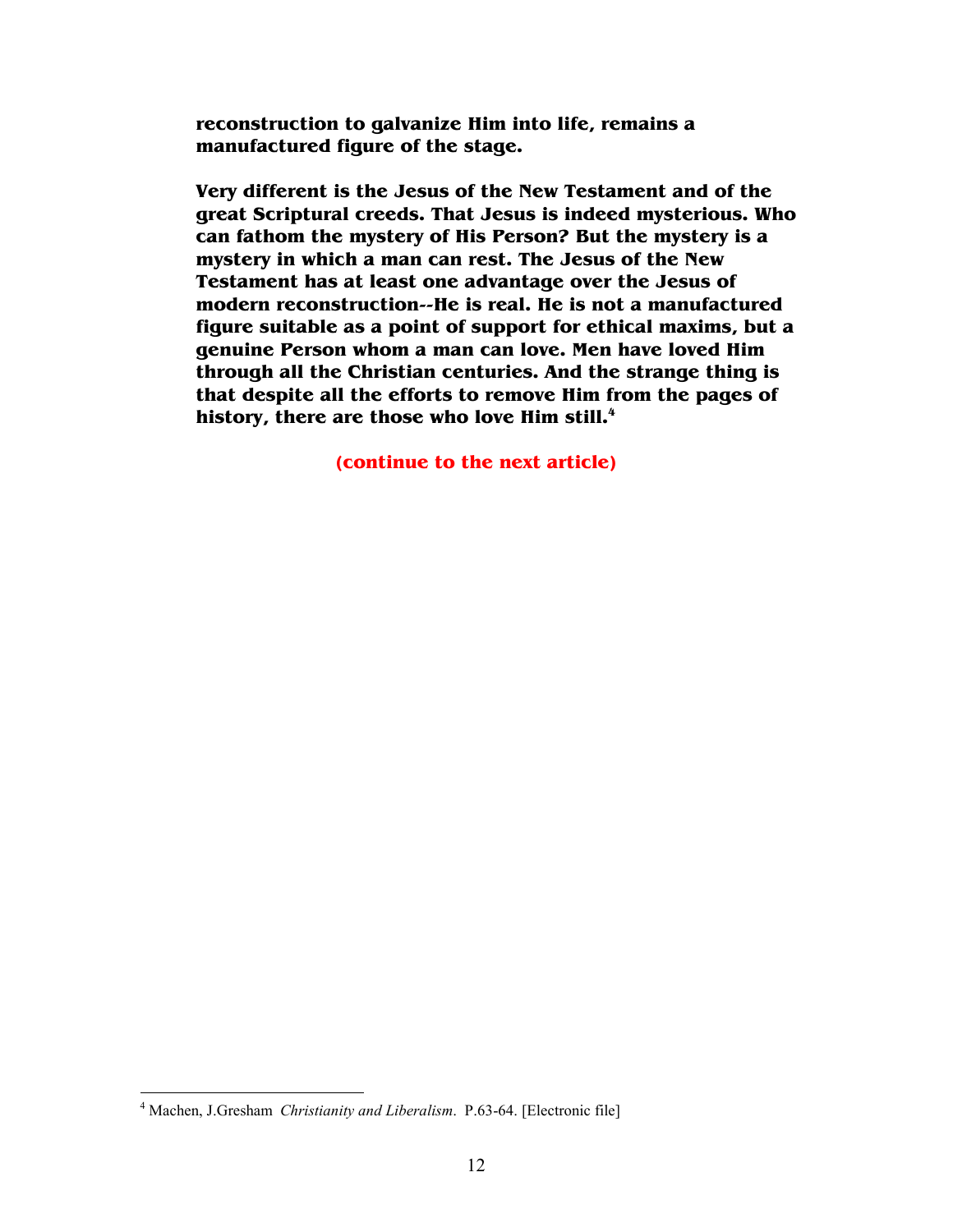**reconstruction to galvanize Him into life, remains a manufactured figure of the stage.** 

**Very different is the Jesus of the New Testament and of the great Scriptural creeds. That Jesus is indeed mysterious. Who can fathom the mystery of His Person? But the mystery is a mystery in which a man can rest. The Jesus of the New Testament has at least one advantage over the Jesus of modern reconstruction--He is real. He is not a manufactured figure suitable as a point of support for ethical maxims, but a genuine Person whom a man can love. Men have loved Him through all the Christian centuries. And the strange thing is that despite all the efforts to remove Him from the pages of history, there are those who love Him still.<sup>4</sup>**

**(continue to the next article)** 

<sup>&</sup>lt;sup>4</sup> Machen, J.Gresham *Christianity and Liberalism*. P.63-64. [Electronic file]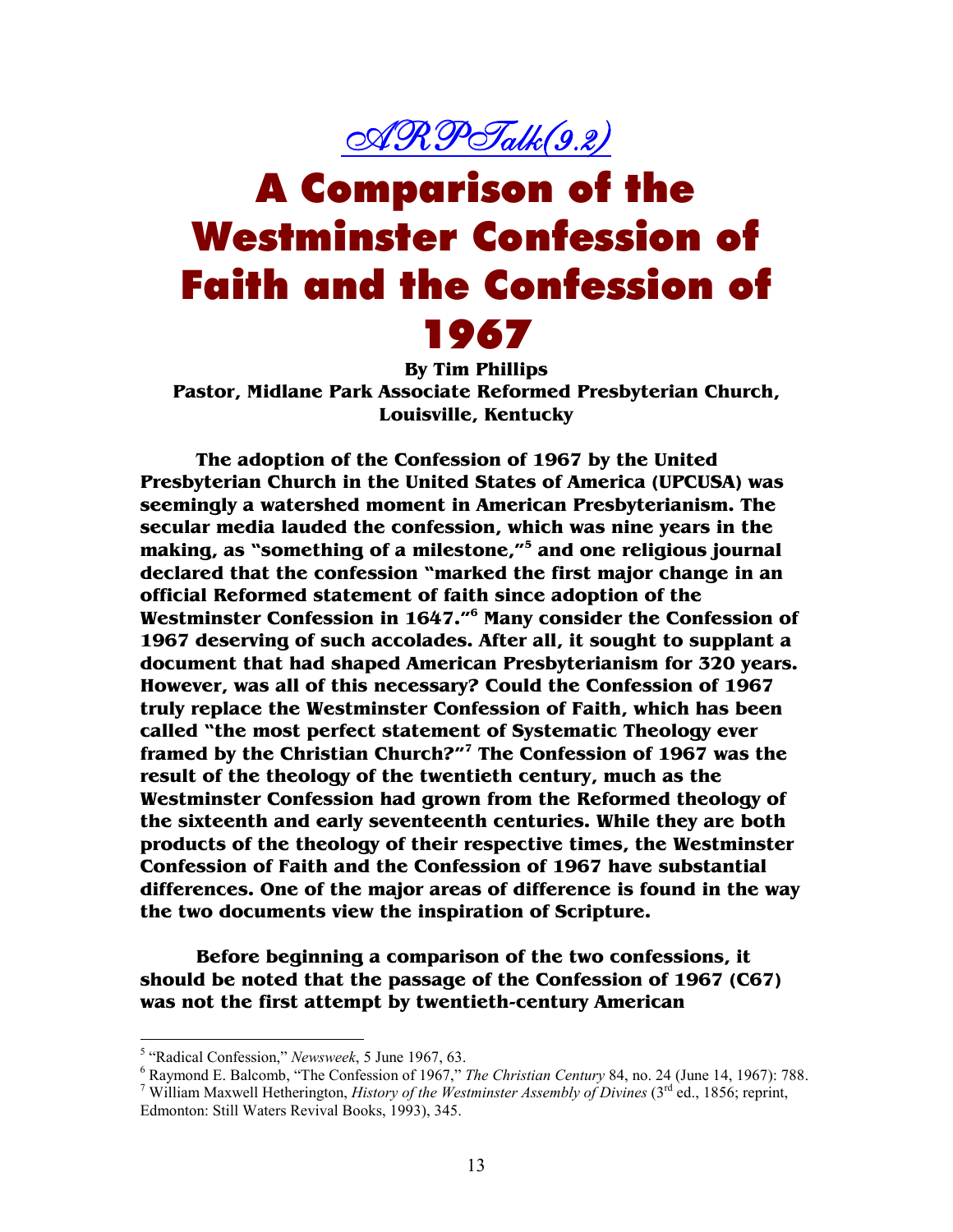## <u>ARP Talk (9.2)</u>

# A Comparison of the Westminster Confession of Faith and the Confession of 1967

**By Tim Phillips Pastor, Midlane Park Associate Reformed Presbyterian Church, Louisville, Kentucky** 

**The adoption of the Confession of 1967 by the United Presbyterian Church in the United States of America (UPCUSA) was seemingly a watershed moment in American Presbyterianism. The secular media lauded the confession, which was nine years in the making, as "something of a milestone,"<sup>5</sup> and one religious journal declared that the confession "marked the first major change in an official Reformed statement of faith since adoption of the Westminster Confession in 1647."<sup>6</sup> Many consider the Confession of 1967 deserving of such accolades. After all, it sought to supplant a document that had shaped American Presbyterianism for 320 years. However, was all of this necessary? Could the Confession of 1967 truly replace the Westminster Confession of Faith, which has been called "the most perfect statement of Systematic Theology ever framed by the Christian Church?"<sup>7</sup> The Confession of 1967 was the result of the theology of the twentieth century, much as the Westminster Confession had grown from the Reformed theology of the sixteenth and early seventeenth centuries. While they are both products of the theology of their respective times, the Westminster Confession of Faith and the Confession of 1967 have substantial differences. One of the major areas of difference is found in the way the two documents view the inspiration of Scripture.** 

 **Before beginning a comparison of the two confessions, it should be noted that the passage of the Confession of 1967 (C67) was not the first attempt by twentieth-century American** 

<sup>&</sup>lt;sup>5</sup> "Radical Confession," *Newsweek*, 5 June 1967, 63.

<sup>6</sup> Raymond E. Balcomb, "The Confession of 1967," *The Christian Century* 84, no. 24 (June 14, 1967): 788.

<sup>&</sup>lt;sup>7</sup> William Maxwell Hetherington, *History of the Westminster Assembly of Divines* (3<sup>rd</sup> ed., 1856; reprint, Edmonton: Still Waters Revival Books, 1993), 345.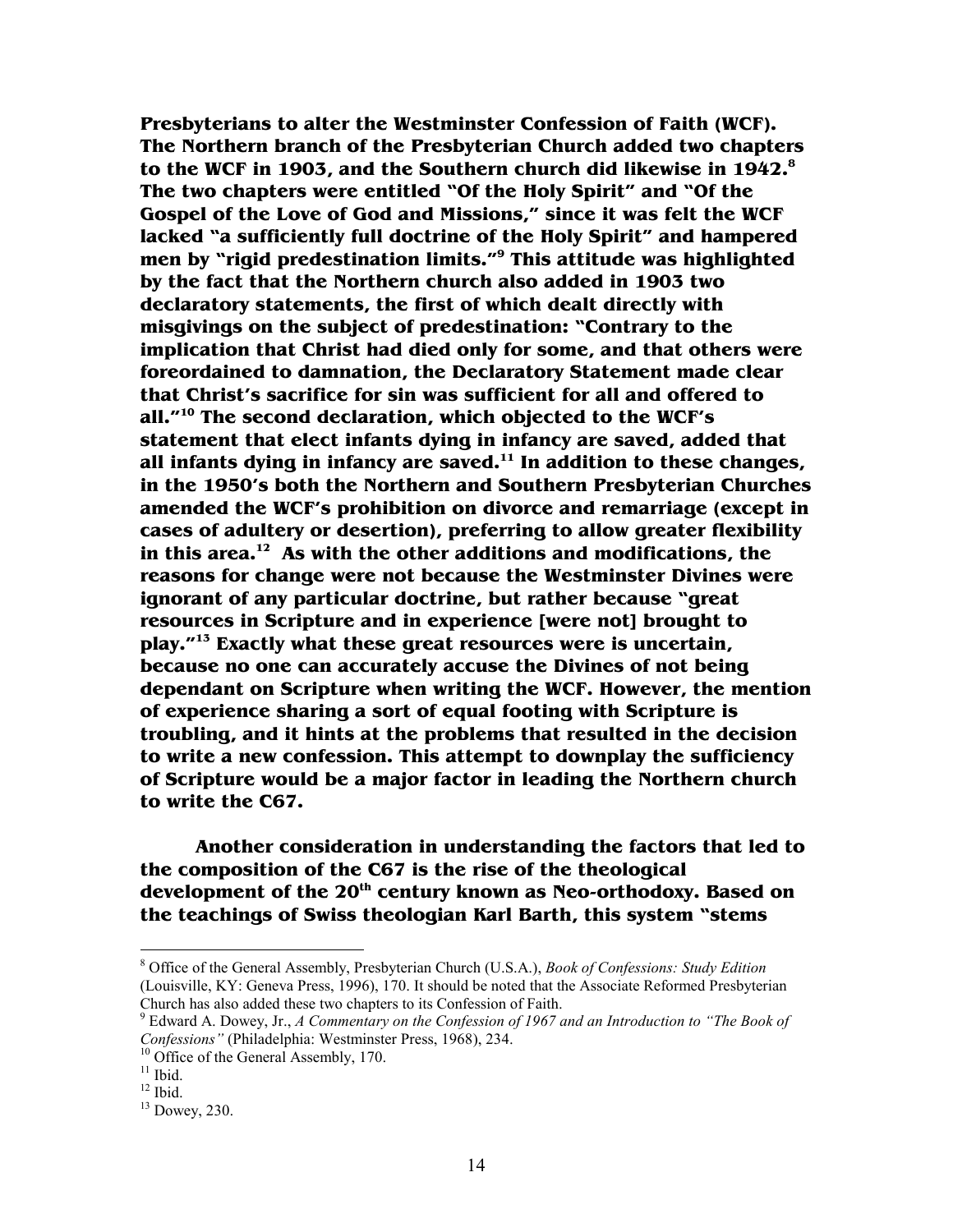**Presbyterians to alter the Westminster Confession of Faith (WCF). The Northern branch of the Presbyterian Church added two chapters to the WCF in 1903, and the Southern church did likewise in 1942.<sup>8</sup> The two chapters were entitled "Of the Holy Spirit" and "Of the Gospel of the Love of God and Missions," since it was felt the WCF lacked "a sufficiently full doctrine of the Holy Spirit" and hampered men by "rigid predestination limits."<sup>9</sup> This attitude was highlighted by the fact that the Northern church also added in 1903 two declaratory statements, the first of which dealt directly with misgivings on the subject of predestination: "Contrary to the implication that Christ had died only for some, and that others were foreordained to damnation, the Declaratory Statement made clear that Christ's sacrifice for sin was sufficient for all and offered to all."<sup>10</sup> The second declaration, which objected to the WCF's statement that elect infants dying in infancy are saved, added that all infants dying in infancy are saved.<sup>11</sup> In addition to these changes, in the 1950's both the Northern and Southern Presbyterian Churches amended the WCF's prohibition on divorce and remarriage (except in cases of adultery or desertion), preferring to allow greater flexibility in this area.<sup>12</sup> As with the other additions and modifications, the reasons for change were not because the Westminster Divines were ignorant of any particular doctrine, but rather because "great resources in Scripture and in experience [were not] brought to play."<sup>13</sup> Exactly what these great resources were is uncertain, because no one can accurately accuse the Divines of not being dependant on Scripture when writing the WCF. However, the mention of experience sharing a sort of equal footing with Scripture is troubling, and it hints at the problems that resulted in the decision to write a new confession. This attempt to downplay the sufficiency of Scripture would be a major factor in leading the Northern church to write the C67.** 

 **Another consideration in understanding the factors that led to the composition of the C67 is the rise of the theological development of the 20th century known as Neo-orthodoxy. Based on the teachings of Swiss theologian Karl Barth, this system "stems** 

<sup>8</sup> Office of the General Assembly, Presbyterian Church (U.S.A.), *Book of Confessions: Study Edition* (Louisville, KY: Geneva Press, 1996), 170. It should be noted that the Associate Reformed Presbyterian Church has also added these two chapters to its Confession of Faith.

<sup>9</sup> Edward A. Dowey, Jr., *A Commentary on the Confession of 1967 and an Introduction to "The Book of Confessions"* (Philadelphia: Westminster Press, 1968), 234.

<sup>&</sup>lt;sup>10</sup> Office of the General Assembly, 170.

 $11$  Ibid.

 $12$  Ibid.

<sup>13</sup> Dowey, 230.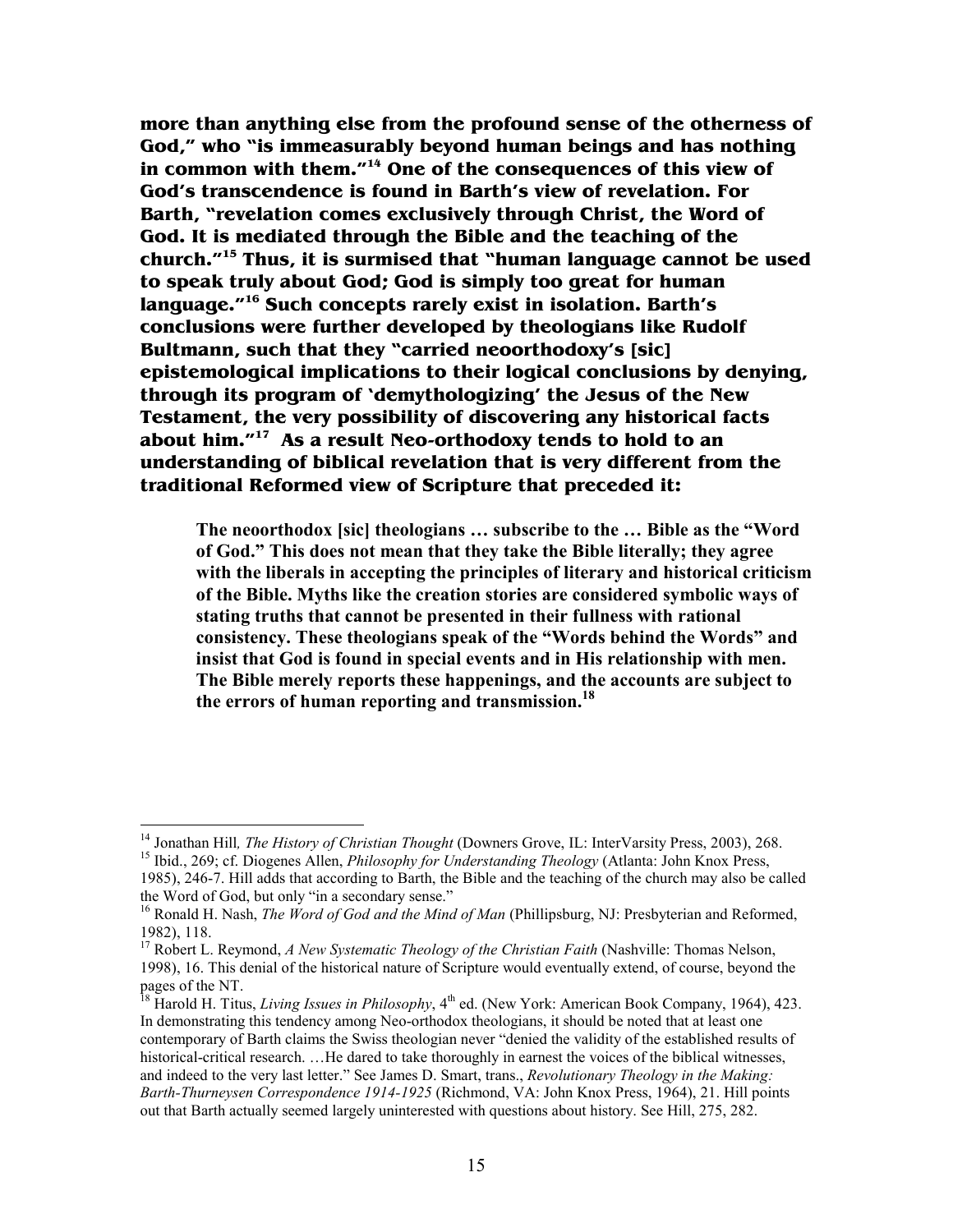**more than anything else from the profound sense of the otherness of God," who "is immeasurably beyond human beings and has nothing in common with them."<sup>14</sup> One of the consequences of this view of God's transcendence is found in Barth's view of revelation. For Barth, "revelation comes exclusively through Christ, the Word of God. It is mediated through the Bible and the teaching of the church."<sup>15</sup> Thus, it is surmised that "human language cannot be used to speak truly about God; God is simply too great for human language."<sup>16</sup> Such concepts rarely exist in isolation. Barth's conclusions were further developed by theologians like Rudolf Bultmann, such that they "carried neoorthodoxy's [sic] epistemological implications to their logical conclusions by denying, through its program of 'demythologizing' the Jesus of the New Testament, the very possibility of discovering any historical facts about him."<sup>17</sup> As a result Neo-orthodoxy tends to hold to an understanding of biblical revelation that is very different from the traditional Reformed view of Scripture that preceded it:** 

**The neoorthodox [sic] theologians … subscribe to the … Bible as the "Word of God." This does not mean that they take the Bible literally; they agree with the liberals in accepting the principles of literary and historical criticism of the Bible. Myths like the creation stories are considered symbolic ways of stating truths that cannot be presented in their fullness with rational consistency. These theologians speak of the "Words behind the Words" and insist that God is found in special events and in His relationship with men. The Bible merely reports these happenings, and the accounts are subject to the errors of human reporting and transmission.<sup>18</sup>**

<sup>14</sup> Jonathan Hill*, The History of Christian Thought* (Downers Grove, IL: InterVarsity Press, 2003), 268. <sup>15</sup> Ibid., 269; cf. Diogenes Allen, *Philosophy for Understanding Theology* (Atlanta: John Knox Press,

<sup>1985), 246-7.</sup> Hill adds that according to Barth, the Bible and the teaching of the church may also be called the Word of God, but only "in a secondary sense."

<sup>16</sup> Ronald H. Nash, *The Word of God and the Mind of Man* (Phillipsburg, NJ: Presbyterian and Reformed, 1982), 118.

<sup>&</sup>lt;sup>17</sup> Robert L. Reymond, *A New Systematic Theology of the Christian Faith* (Nashville: Thomas Nelson, 1998), 16. This denial of the historical nature of Scripture would eventually extend, of course, beyond the pages of the NT.

<sup>&</sup>lt;sup>18</sup> Harold H. Titus, *Living Issues in Philosophy*, 4<sup>th</sup> ed. (New York: American Book Company, 1964), 423. In demonstrating this tendency among Neo-orthodox theologians, it should be noted that at least one contemporary of Barth claims the Swiss theologian never "denied the validity of the established results of historical-critical research. …He dared to take thoroughly in earnest the voices of the biblical witnesses, and indeed to the very last letter." See James D. Smart, trans., *Revolutionary Theology in the Making: Barth-Thurneysen Correspondence 1914-1925* (Richmond, VA: John Knox Press, 1964), 21. Hill points out that Barth actually seemed largely uninterested with questions about history. See Hill, 275, 282.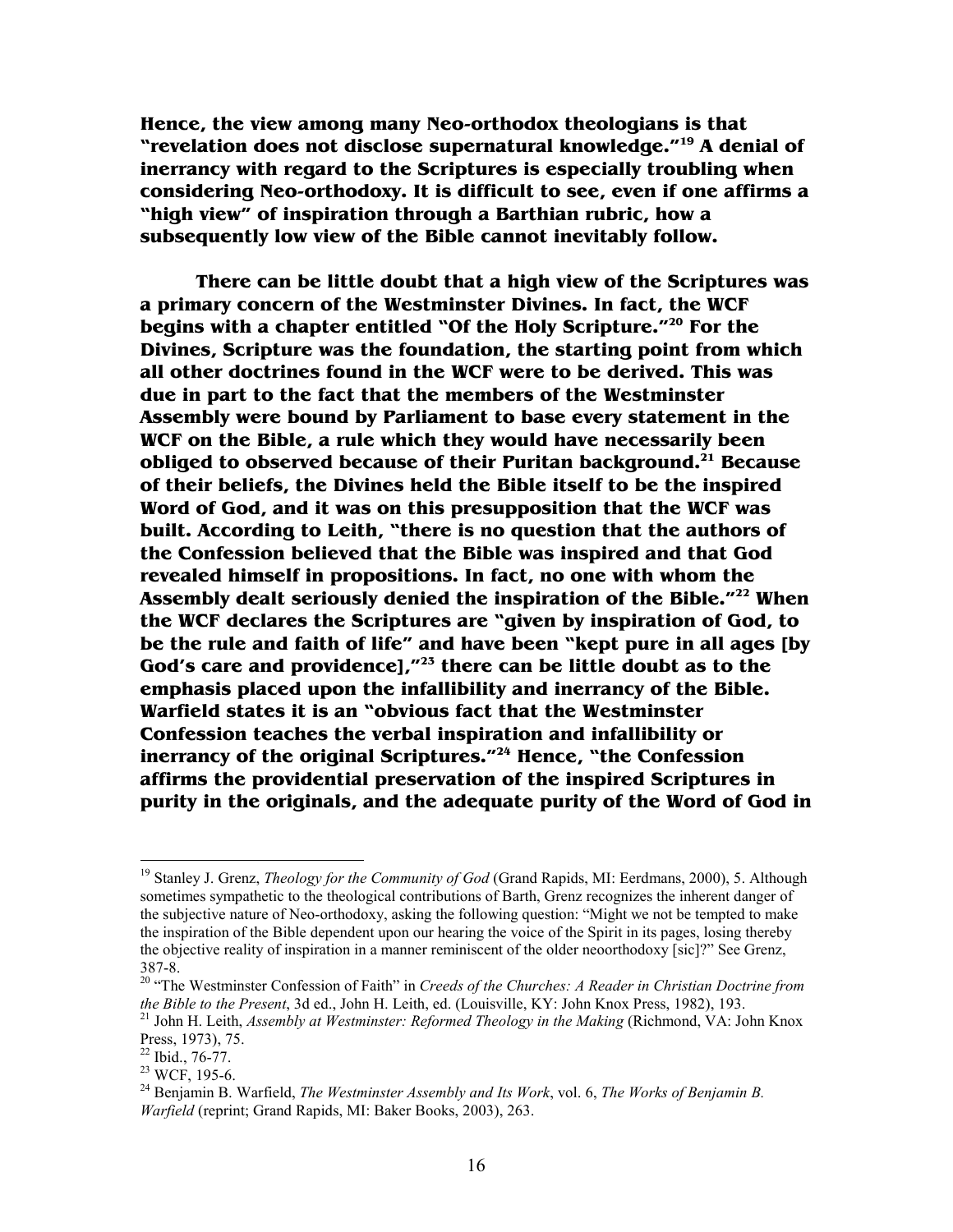**Hence, the view among many Neo-orthodox theologians is that "revelation does not disclose supernatural knowledge."<sup>19</sup> A denial of inerrancy with regard to the Scriptures is especially troubling when considering Neo-orthodoxy. It is difficult to see, even if one affirms a "high view" of inspiration through a Barthian rubric, how a subsequently low view of the Bible cannot inevitably follow.** 

 **There can be little doubt that a high view of the Scriptures was a primary concern of the Westminster Divines. In fact, the WCF begins with a chapter entitled "Of the Holy Scripture."<sup>20</sup> For the Divines, Scripture was the foundation, the starting point from which all other doctrines found in the WCF were to be derived. This was due in part to the fact that the members of the Westminster Assembly were bound by Parliament to base every statement in the WCF on the Bible, a rule which they would have necessarily been obliged to observed because of their Puritan background.<sup>21</sup> Because of their beliefs, the Divines held the Bible itself to be the inspired Word of God, and it was on this presupposition that the WCF was built. According to Leith, "there is no question that the authors of the Confession believed that the Bible was inspired and that God revealed himself in propositions. In fact, no one with whom the Assembly dealt seriously denied the inspiration of the Bible."<sup>22</sup> When the WCF declares the Scriptures are "given by inspiration of God, to be the rule and faith of life" and have been "kept pure in all ages [by God's care and providence],"<sup>23</sup> there can be little doubt as to the emphasis placed upon the infallibility and inerrancy of the Bible. Warfield states it is an "obvious fact that the Westminster Confession teaches the verbal inspiration and infallibility or inerrancy of the original Scriptures."<sup>24</sup> Hence, "the Confession affirms the providential preservation of the inspired Scriptures in purity in the originals, and the adequate purity of the Word of God in** 

l

<sup>&</sup>lt;sup>19</sup> Stanley J. Grenz, *Theology for the Community of God* (Grand Rapids, MI: Eerdmans, 2000), 5. Although sometimes sympathetic to the theological contributions of Barth, Grenz recognizes the inherent danger of the subjective nature of Neo-orthodoxy, asking the following question: "Might we not be tempted to make the inspiration of the Bible dependent upon our hearing the voice of the Spirit in its pages, losing thereby the objective reality of inspiration in a manner reminiscent of the older neoorthodoxy [sic]?" See Grenz, 387-8.

<sup>&</sup>lt;sup>20</sup> "The Westminster Confession of Faith" in *Creeds of the Churches: A Reader in Christian Doctrine from the Bible to the Present*, 3d ed., John H. Leith, ed. (Louisville, KY: John Knox Press, 1982), 193.

<sup>21</sup> John H. Leith, *Assembly at Westminster: Reformed Theology in the Making* (Richmond, VA: John Knox Press, 1973), 75.

 $22$  Ibid., 76-77.

<sup>23</sup> WCF, 195-6.

<sup>24</sup> Benjamin B. Warfield, *The Westminster Assembly and Its Work*, vol. 6, *The Works of Benjamin B. Warfield* (reprint; Grand Rapids, MI: Baker Books, 2003), 263.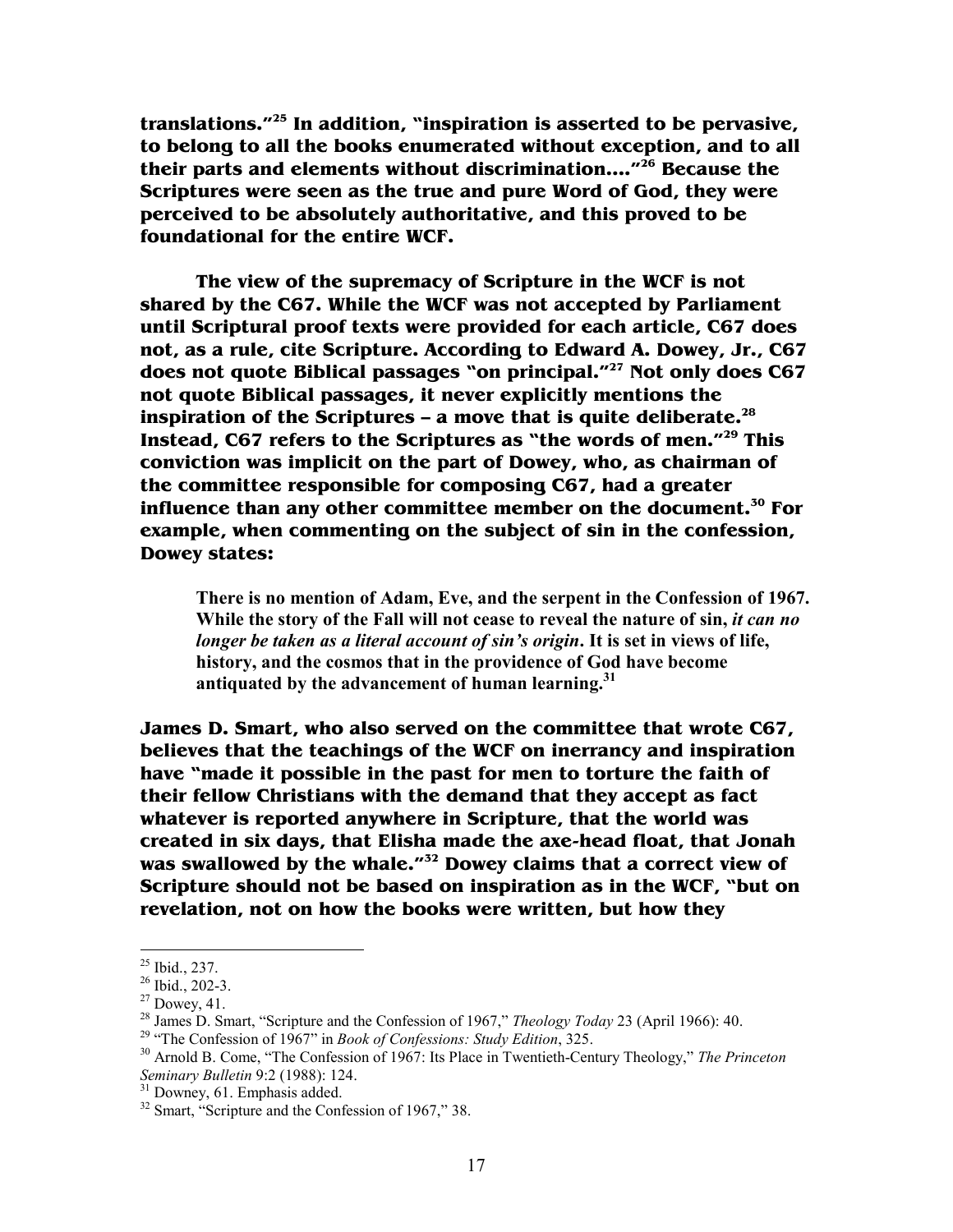**translations."<sup>25</sup> In addition, "inspiration is asserted to be pervasive, to belong to all the books enumerated without exception, and to all their parts and elements without discrimination…."<sup>26</sup> Because the Scriptures were seen as the true and pure Word of God, they were perceived to be absolutely authoritative, and this proved to be foundational for the entire WCF.** 

 **The view of the supremacy of Scripture in the WCF is not shared by the C67. While the WCF was not accepted by Parliament until Scriptural proof texts were provided for each article, C67 does not, as a rule, cite Scripture. According to Edward A. Dowey, Jr., C67 does not quote Biblical passages "on principal."<sup>27</sup> Not only does C67 not quote Biblical passages, it never explicitly mentions the inspiration of the Scriptures – a move that is quite deliberate.<sup>28</sup> Instead, C67 refers to the Scriptures as "the words of men."<sup>29</sup> This conviction was implicit on the part of Dowey, who, as chairman of the committee responsible for composing C67, had a greater influence than any other committee member on the document.<sup>30</sup> For example, when commenting on the subject of sin in the confession, Dowey states:** 

**There is no mention of Adam, Eve, and the serpent in the Confession of 1967. While the story of the Fall will not cease to reveal the nature of sin,** *it can no longer be taken as a literal account of sin's origin***. It is set in views of life, history, and the cosmos that in the providence of God have become antiquated by the advancement of human learning.<sup>31</sup>**

**James D. Smart, who also served on the committee that wrote C67, believes that the teachings of the WCF on inerrancy and inspiration have "made it possible in the past for men to torture the faith of their fellow Christians with the demand that they accept as fact whatever is reported anywhere in Scripture, that the world was created in six days, that Elisha made the axe-head float, that Jonah was swallowed by the whale."<sup>32</sup> Dowey claims that a correct view of Scripture should not be based on inspiration as in the WCF, "but on revelation, not on how the books were written, but how they** 

 $^{25}$  Ibid., 237.

 $26$  Ibid., 202-3.

 $27$  Dowey, 41.

<sup>28</sup> James D. Smart, "Scripture and the Confession of 1967," *Theology Today* 23 (April 1966): 40.

<sup>29</sup> "The Confession of 1967" in *Book of Confessions: Study Edition*, 325.

<sup>30</sup> Arnold B. Come, "The Confession of 1967: Its Place in Twentieth-Century Theology," *The Princeton Seminary Bulletin* 9:2 (1988): 124.

<sup>&</sup>lt;sup>31</sup> Downey, 61. Emphasis added.

<sup>&</sup>lt;sup>32</sup> Smart, "Scripture and the Confession of 1967," 38.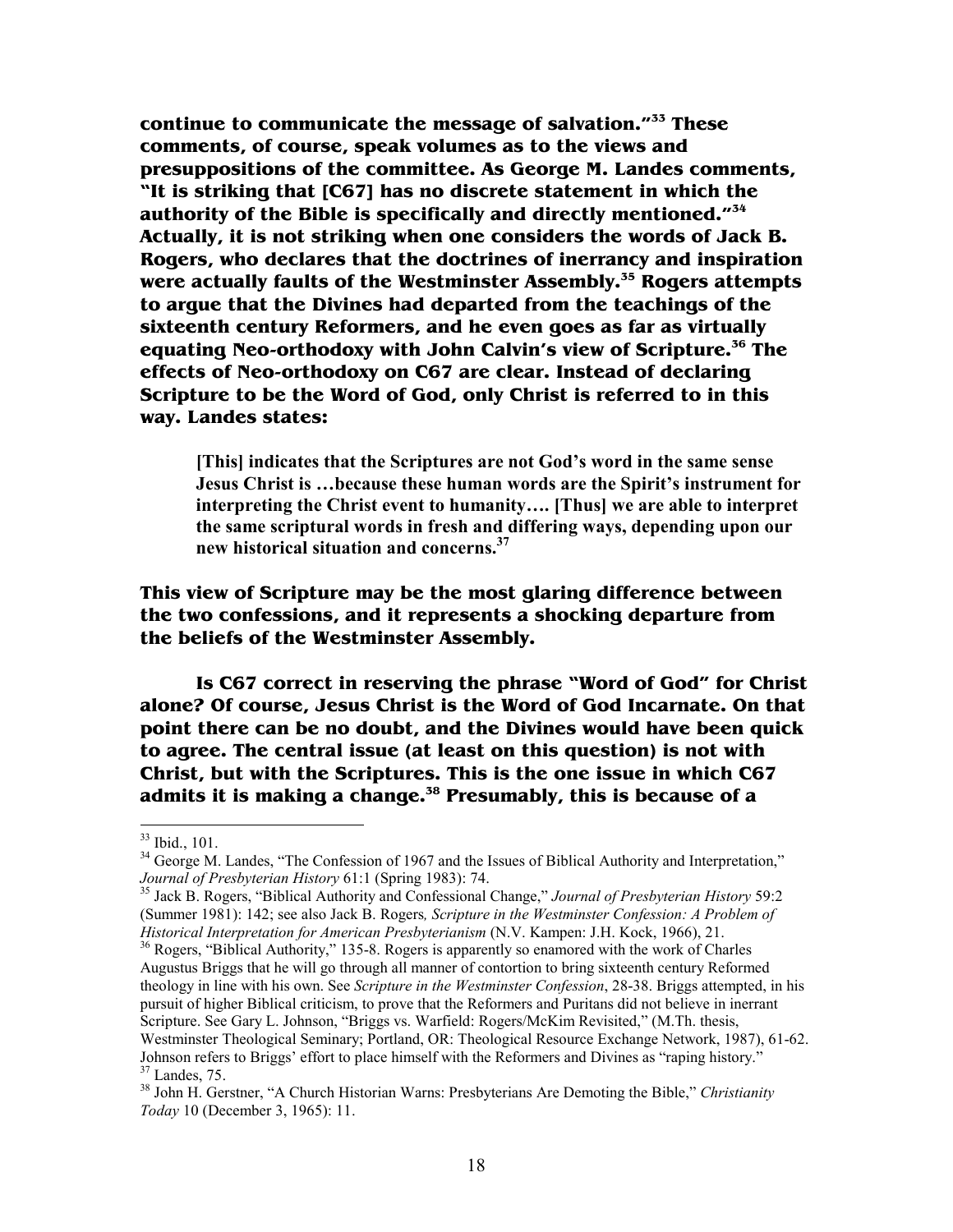**continue to communicate the message of salvation."<sup>33</sup> These comments, of course, speak volumes as to the views and presuppositions of the committee. As George M. Landes comments, "It is striking that [C67] has no discrete statement in which the authority of the Bible is specifically and directly mentioned."<sup>34</sup> Actually, it is not striking when one considers the words of Jack B. Rogers, who declares that the doctrines of inerrancy and inspiration were actually faults of the Westminster Assembly.<sup>35</sup> Rogers attempts to argue that the Divines had departed from the teachings of the sixteenth century Reformers, and he even goes as far as virtually equating Neo-orthodoxy with John Calvin's view of Scripture.<sup>36</sup> The effects of Neo-orthodoxy on C67 are clear. Instead of declaring Scripture to be the Word of God, only Christ is referred to in this way. Landes states:** 

**[This] indicates that the Scriptures are not God's word in the same sense Jesus Christ is …because these human words are the Spirit's instrument for interpreting the Christ event to humanity…. [Thus] we are able to interpret the same scriptural words in fresh and differing ways, depending upon our new historical situation and concerns.<sup>37</sup>**

**This view of Scripture may be the most glaring difference between the two confessions, and it represents a shocking departure from the beliefs of the Westminster Assembly.** 

 **Is C67 correct in reserving the phrase "Word of God" for Christ alone? Of course, Jesus Christ is the Word of God Incarnate. On that point there can be no doubt, and the Divines would have been quick to agree. The central issue (at least on this question) is not with Christ, but with the Scriptures. This is the one issue in which C67 admits it is making a change.<sup>38</sup> Presumably, this is because of a** 

 $\overline{a}$ 

<sup>36</sup> Rogers, "Biblical Authority," 135-8. Rogers is apparently so enamored with the work of Charles Augustus Briggs that he will go through all manner of contortion to bring sixteenth century Reformed theology in line with his own. See *Scripture in the Westminster Confession*, 28-38. Briggs attempted, in his pursuit of higher Biblical criticism, to prove that the Reformers and Puritans did not believe in inerrant Scripture. See Gary L. Johnson, "Briggs vs. Warfield: Rogers/McKim Revisited," (M.Th. thesis, Westminster Theological Seminary; Portland, OR: Theological Resource Exchange Network, 1987), 61-62. Johnson refers to Briggs' effort to place himself with the Reformers and Divines as "raping history."  $37$  Landes, 75.

<sup>33</sup> Ibid., 101.

<sup>&</sup>lt;sup>34</sup> George M. Landes, "The Confession of 1967 and the Issues of Biblical Authority and Interpretation," *Journal of Presbyterian History* 61:1 (Spring 1983): 74.

<sup>35</sup> Jack B. Rogers, "Biblical Authority and Confessional Change," *Journal of Presbyterian History* 59:2 (Summer 1981): 142; see also Jack B. Rogers*, Scripture in the Westminster Confession: A Problem of Historical Interpretation for American Presbyterianism* (N.V. Kampen: J.H. Kock, 1966), 21.

<sup>38</sup> John H. Gerstner, "A Church Historian Warns: Presbyterians Are Demoting the Bible," *Christianity Today* 10 (December 3, 1965): 11.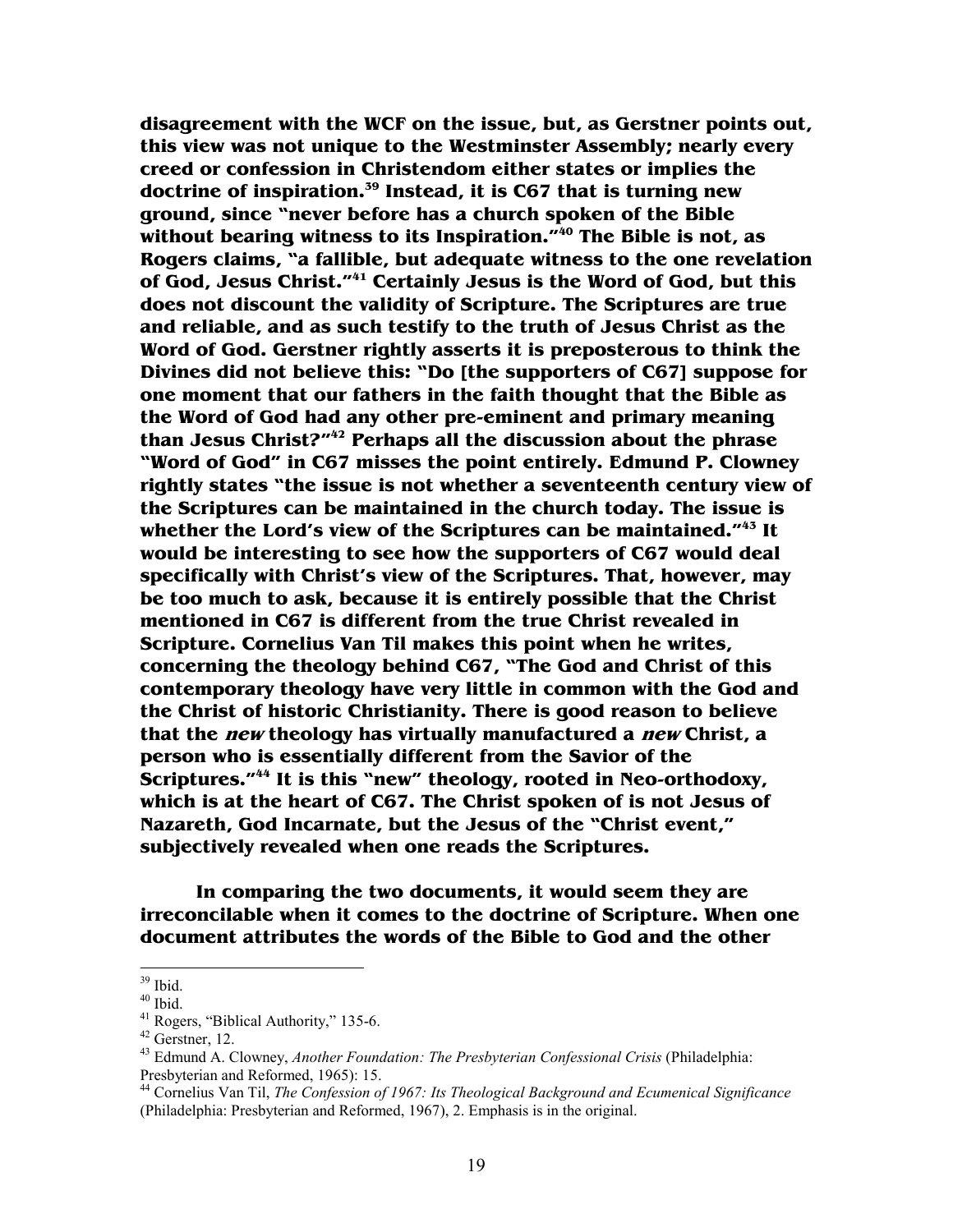**disagreement with the WCF on the issue, but, as Gerstner points out, this view was not unique to the Westminster Assembly; nearly every creed or confession in Christendom either states or implies the doctrine of inspiration.<sup>39</sup> Instead, it is C67 that is turning new ground, since "never before has a church spoken of the Bible without bearing witness to its Inspiration."<sup>40</sup> The Bible is not, as Rogers claims, "a fallible, but adequate witness to the one revelation of God, Jesus Christ."<sup>41</sup> Certainly Jesus is the Word of God, but this does not discount the validity of Scripture. The Scriptures are true and reliable, and as such testify to the truth of Jesus Christ as the Word of God. Gerstner rightly asserts it is preposterous to think the Divines did not believe this: "Do [the supporters of C67] suppose for one moment that our fathers in the faith thought that the Bible as the Word of God had any other pre-eminent and primary meaning than Jesus Christ?"<sup>42</sup> Perhaps all the discussion about the phrase "Word of God" in C67 misses the point entirely. Edmund P. Clowney rightly states "the issue is not whether a seventeenth century view of the Scriptures can be maintained in the church today. The issue is whether the Lord's view of the Scriptures can be maintained."<sup>43</sup> It would be interesting to see how the supporters of C67 would deal specifically with Christ's view of the Scriptures. That, however, may be too much to ask, because it is entirely possible that the Christ mentioned in C67 is different from the true Christ revealed in Scripture. Cornelius Van Til makes this point when he writes, concerning the theology behind C67, "The God and Christ of this contemporary theology have very little in common with the God and the Christ of historic Christianity. There is good reason to believe that the new theology has virtually manufactured a new Christ, a person who is essentially different from the Savior of the Scriptures."<sup>44</sup> It is this "new" theology, rooted in Neo-orthodoxy, which is at the heart of C67. The Christ spoken of is not Jesus of Nazareth, God Incarnate, but the Jesus of the "Christ event," subjectively revealed when one reads the Scriptures.** 

 **In comparing the two documents, it would seem they are irreconcilable when it comes to the doctrine of Scripture. When one document attributes the words of the Bible to God and the other** 

l

 $39$  Ibid.

 $40$  Ibid.

<sup>&</sup>lt;sup>41</sup> Rogers, "Biblical Authority," 135-6.

 $42$  Gerstner, 12.

<sup>43</sup> Edmund A. Clowney, *Another Foundation: The Presbyterian Confessional Crisis* (Philadelphia: Presbyterian and Reformed, 1965): 15.

<sup>44</sup> Cornelius Van Til, *The Confession of 1967: Its Theological Background and Ecumenical Significance* (Philadelphia: Presbyterian and Reformed, 1967), 2. Emphasis is in the original.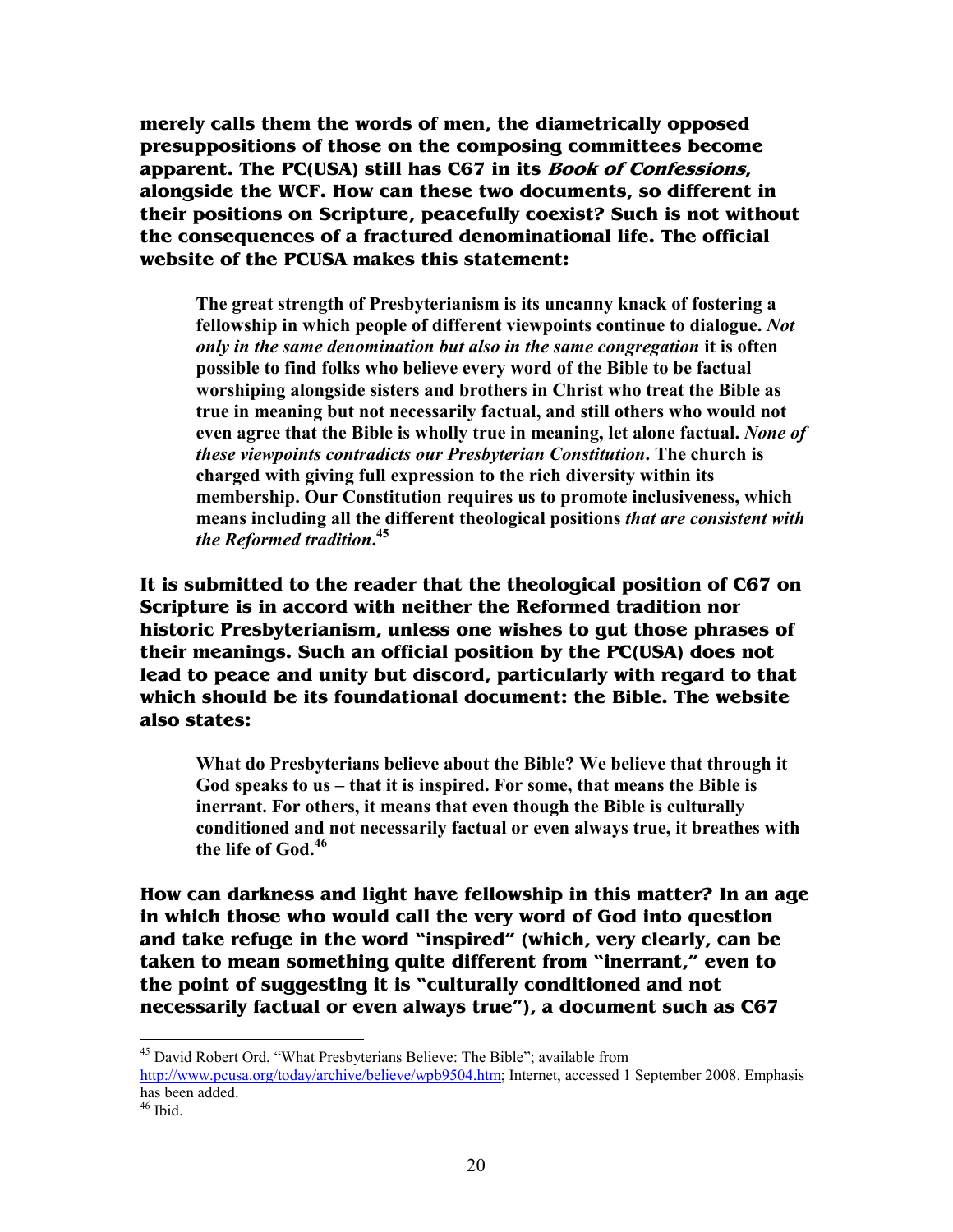**merely calls them the words of men, the diametrically opposed presuppositions of those on the composing committees become apparent. The PC(USA) still has C67 in its Book of Confessions, alongside the WCF. How can these two documents, so different in their positions on Scripture, peacefully coexist? Such is not without the consequences of a fractured denominational life. The official website of the PCUSA makes this statement:** 

**The great strength of Presbyterianism is its uncanny knack of fostering a**  fellowship in which people of different viewpoints continue to dialogue. Not *only in the same denomination but also in the same congregation* **it is often possible to find folks who believe every word of the Bible to be factual worshiping alongside sisters and brothers in Christ who treat the Bible as true in meaning but not necessarily factual, and still others who would not even agree that the Bible is wholly true in meaning, let alone factual.** *None of these viewpoints contradicts our Presbyterian Constitution***. The church is charged with giving full expression to the rich diversity within its membership. Our Constitution requires us to promote inclusiveness, which means including all the different theological positions** *that are consistent with the Reformed tradition***. 45**

**It is submitted to the reader that the theological position of C67 on Scripture is in accord with neither the Reformed tradition nor historic Presbyterianism, unless one wishes to gut those phrases of their meanings. Such an official position by the PC(USA) does not lead to peace and unity but discord, particularly with regard to that which should be its foundational document: the Bible. The website also states:** 

**What do Presbyterians believe about the Bible? We believe that through it God speaks to us – that it is inspired. For some, that means the Bible is inerrant. For others, it means that even though the Bible is culturally conditioned and not necessarily factual or even always true, it breathes with the life of God.<sup>46</sup>**

**How can darkness and light have fellowship in this matter? In an age in which those who would call the very word of God into question and take refuge in the word "inspired" (which, very clearly, can be taken to mean something quite different from "inerrant," even to the point of suggesting it is "culturally conditioned and not necessarily factual or even always true"), a document such as C67** 

<sup>&</sup>lt;sup>45</sup> David Robert Ord, "What Presbyterians Believe: The Bible"; available from

http://www.pcusa.org/today/archive/believe/wpb9504.htm; Internet, accessed 1 September 2008. Emphasis has been added.

<sup>46</sup> Ibid.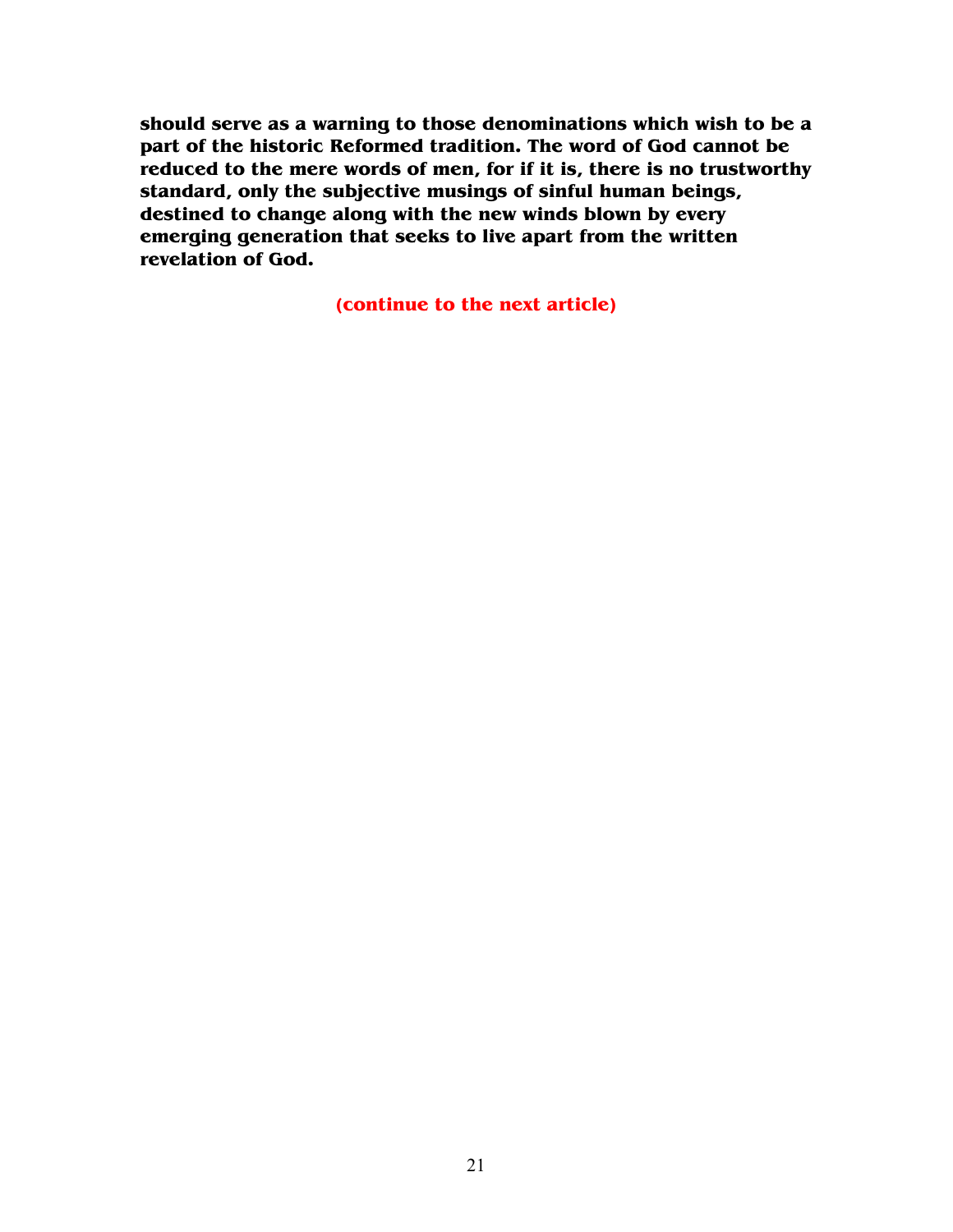**should serve as a warning to those denominations which wish to be a part of the historic Reformed tradition. The word of God cannot be reduced to the mere words of men, for if it is, there is no trustworthy standard, only the subjective musings of sinful human beings, destined to change along with the new winds blown by every emerging generation that seeks to live apart from the written revelation of God.** 

**(continue to the next article)**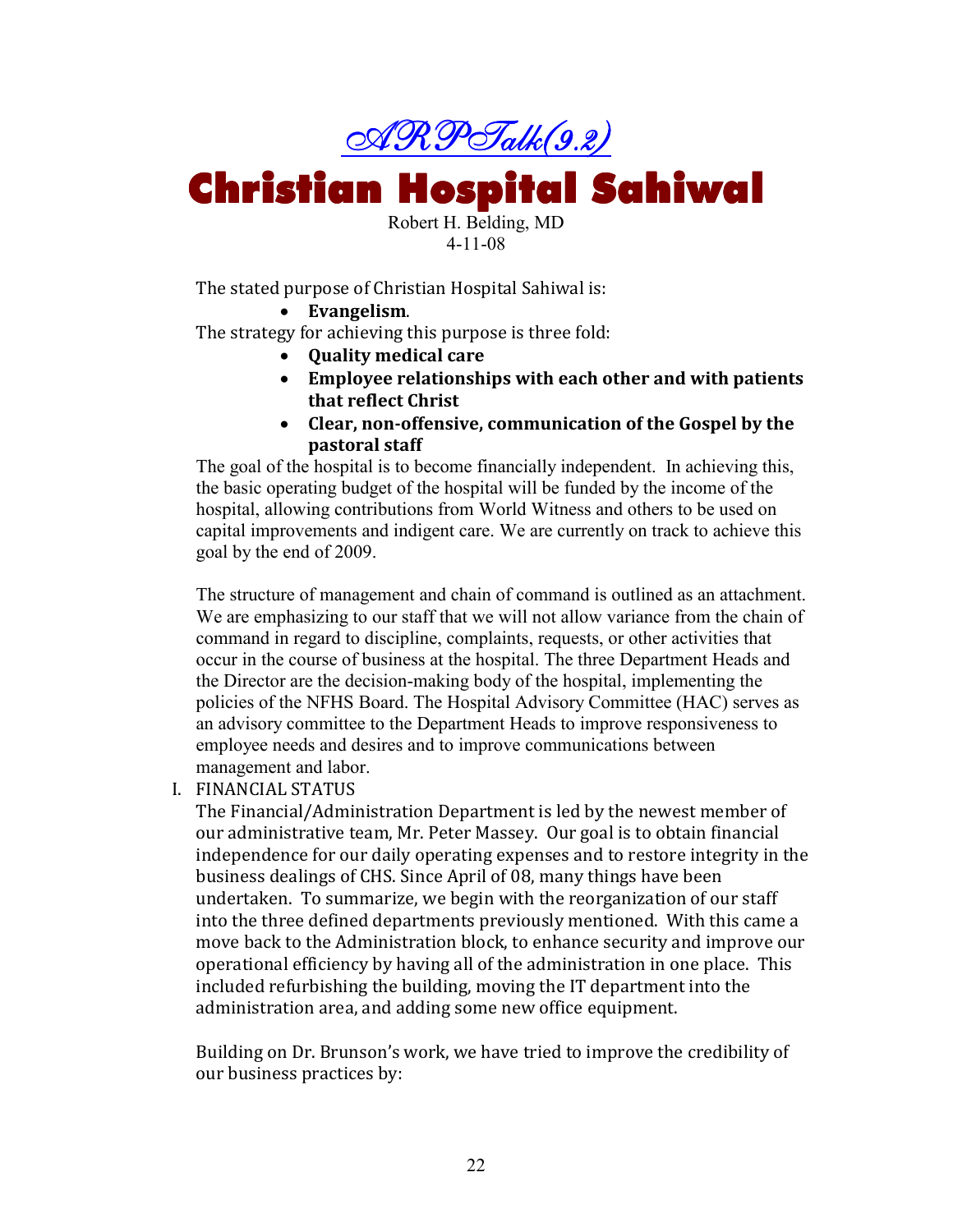

**Christian Hospital Sahiwal** 

Robert H. Belding, MD 4-11-08

The stated purpose of Christian Hospital Sahiwal is:

• **Evangelism**.

The strategy for achieving this purpose is three fold:

- **Quality medical care**
- **Employee relationships with each other and with patients that reflect Christ**
- **Clear, non-offensive, communication of the Gospel by the pastoral staff**

The goal of the hospital is to become financially independent. In achieving this, the basic operating budget of the hospital will be funded by the income of the hospital, allowing contributions from World Witness and others to be used on capital improvements and indigent care. We are currently on track to achieve this goal by the end of 2009.

The structure of management and chain of command is outlined as an attachment. We are emphasizing to our staff that we will not allow variance from the chain of command in regard to discipline, complaints, requests, or other activities that occur in the course of business at the hospital. The three Department Heads and the Director are the decision-making body of the hospital, implementing the policies of the NFHS Board. The Hospital Advisory Committee (HAC) serves as an advisory committee to the Department Heads to improve responsiveness to employee needs and desires and to improve communications between management and labor.

I. FINANCIAL STATUS

The Financial/Administration Department is led by the newest member of our administrative team, Mr. Peter Massey. Our goal is to obtain financial independence for our daily operating expenses and to restore integrity in the business dealings of CHS. Since April of 08, many things have been undertaken. To summarize, we begin with the reorganization of our staff into the three defined departments previously mentioned. With this came a move back to the Administration block, to enhance security and improve our operational efficiency by having all of the administration in one place. This included refurbishing the building, moving the IT department into the administration area, and adding some new office equipment.

Building on Dr. Brunson's work, we have tried to improve the credibility of our business practices by: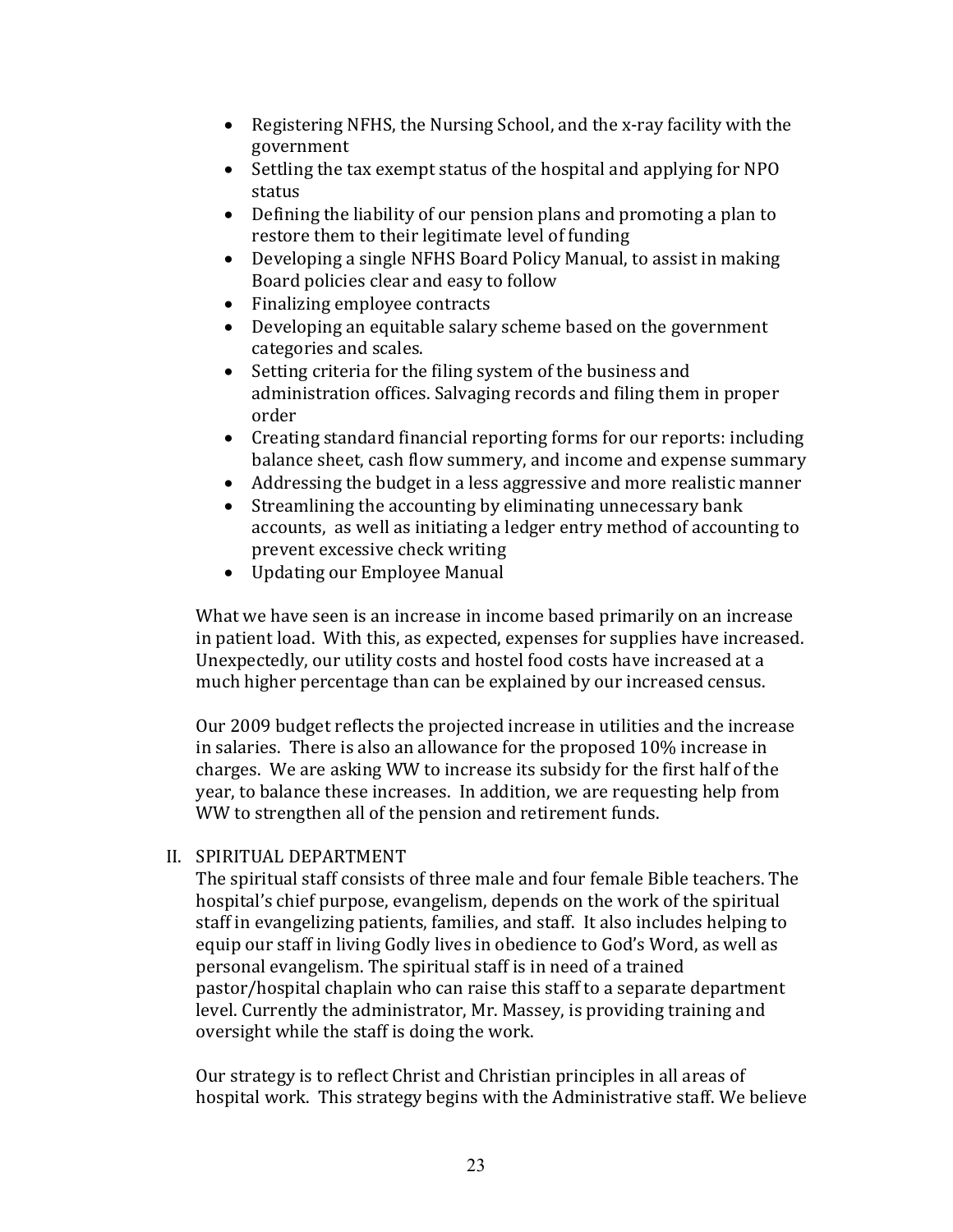- Registering NFHS, the Nursing School, and the x-ray facility with the government
- Settling the tax exempt status of the hospital and applying for NPO status
- Defining the liability of our pension plans and promoting a plan to restore them to their legitimate level of funding
- Developing a single NFHS Board Policy Manual, to assist in making Board policies clear and easy to follow
- Finalizing employee contracts
- Developing an equitable salary scheme based on the government categories and scales.
- Setting criteria for the filing system of the business and administration offices. Salvaging records and filing them in proper order
- Creating standard financial reporting forms for our reports: including balance sheet, cash flow summery, and income and expense summary
- Addressing the budget in a less aggressive and more realistic manner
- Streamlining the accounting by eliminating unnecessary bank accounts, as well as initiating a ledger entry method of accounting to prevent excessive check writing
- Updating our Employee Manual

What we have seen is an increase in income based primarily on an increase in patient load. With this, as expected, expenses for supplies have increased. Unexpectedly, our utility costs and hostel food costs have increased at a much higher percentage than can be explained by our increased census.

Our 2009 budget reflects the projected increase in utilities and the increase in salaries. There is also an allowance for the proposed 10% increase in charges. We are asking WW to increase its subsidy for the first half of the year, to balance these increases. In addition, we are requesting help from WW to strengthen all of the pension and retirement funds.

### II. SPIRITUAL DEPARTMENT

The spiritual staff consists of three male and four female Bible teachers. The hospital's chief purpose, evangelism, depends on the work of the spiritual staff in evangelizing patients, families, and staff. It also includes helping to equip our staff in living Godly lives in obedience to God's Word, as well as personal evangelism. The spiritual staff is in need of a trained pastor/hospital chaplain who can raise this staff to a separate department level. Currently the administrator, Mr. Massey, is providing training and oversight while the staff is doing the work.

Our strategy is to reflect Christ and Christian principles in all areas of hospital work. This strategy begins with the Administrative staff. We believe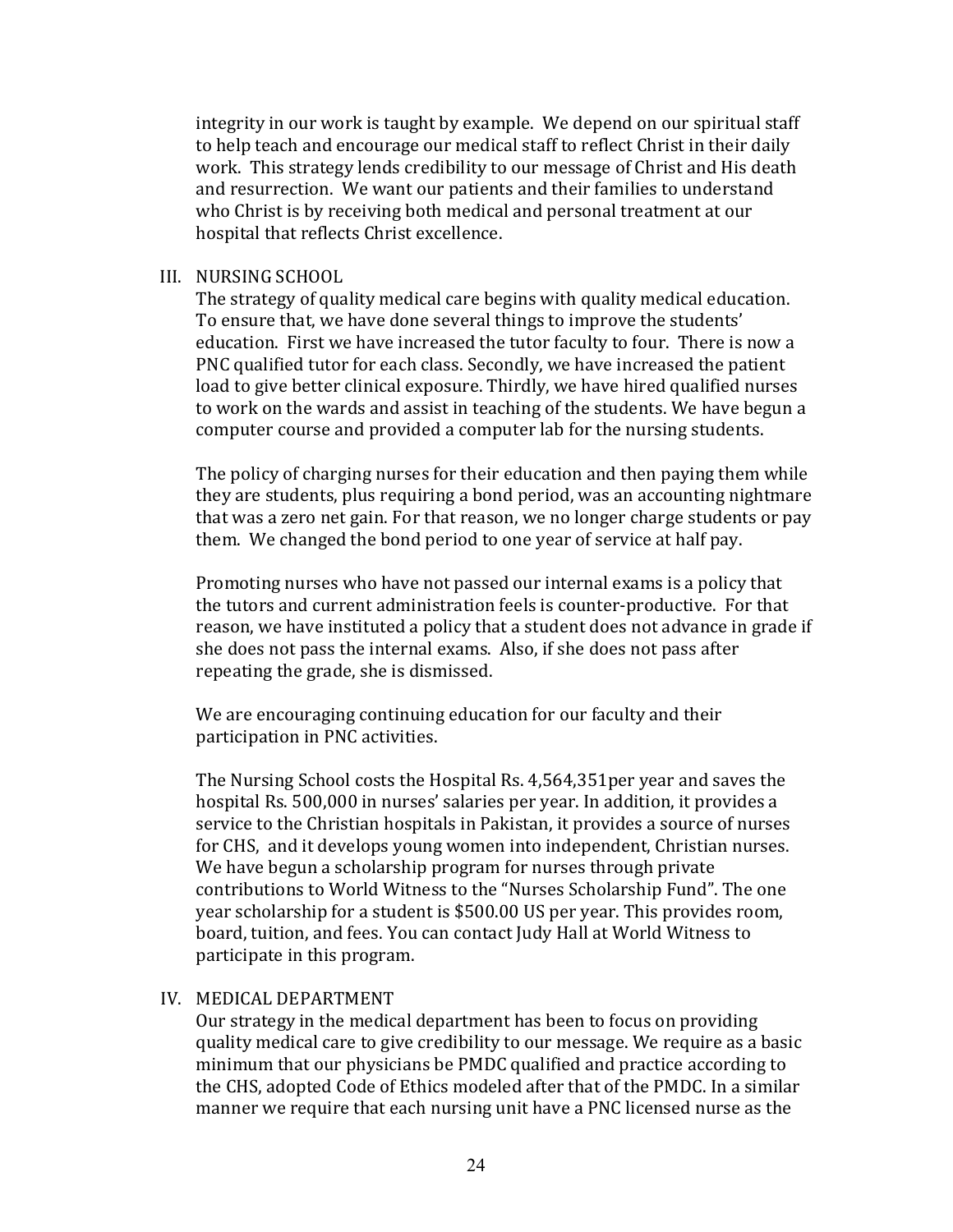integrity in our work is taught by example. We depend on our spiritual staff to help teach and encourage our medical staff to reflect Christ in their daily work. This strategy lends credibility to our message of Christ and His death and resurrection. We want our patients and their families to understand who Christ is by receiving both medical and personal treatment at our hospital that reflects Christ excellence.

#### III. NURSING SCHOOL

The strategy of quality medical care begins with quality medical education. To ensure that, we have done several things to improve the students' education. First we have increased the tutor faculty to four. There is now a PNC qualified tutor for each class. Secondly, we have increased the patient load to give better clinical exposure. Thirdly, we have hired qualified nurses to work on the wards and assist in teaching of the students. We have begun a computer course and provided a computer lab for the nursing students.

The policy of charging nurses for their education and then paying them while they are students, plus requiring a bond period, was an accounting nightmare that was a zero net gain. For that reason, we no longer charge students or pay them. We changed the bond period to one year of service at half pay.

Promoting nurses who have not passed our internal exams is a policy that the tutors and current administration feels is counter-productive. For that reason, we have instituted a policy that a student does not advance in grade if she does not pass the internal exams. Also, if she does not pass after repeating the grade, she is dismissed.

We are encouraging continuing education for our faculty and their participation in PNC activities.

The Nursing School costs the Hospital Rs. 4,564,351per year and saves the hospital Rs. 500,000 in nurses' salaries per year. In addition, it provides a service to the Christian hospitals in Pakistan, it provides a source of nurses for CHS, and it develops young women into independent, Christian nurses. We have begun a scholarship program for nurses through private contributions to World Witness to the "Nurses Scholarship Fund". The one year scholarship for a student is \$500.00 US per year. This provides room, board, tuition, and fees. You can contact Judy Hall at World Witness to participate in this program.

#### IV. MEDICAL DEPARTMENT

Our strategy in the medical department has been to focus on providing quality medical care to give credibility to our message. We require as a basic minimum that our physicians be PMDC qualified and practice according to the CHS, adopted Code of Ethics modeled after that of the PMDC. In a similar manner we require that each nursing unit have a PNC licensed nurse as the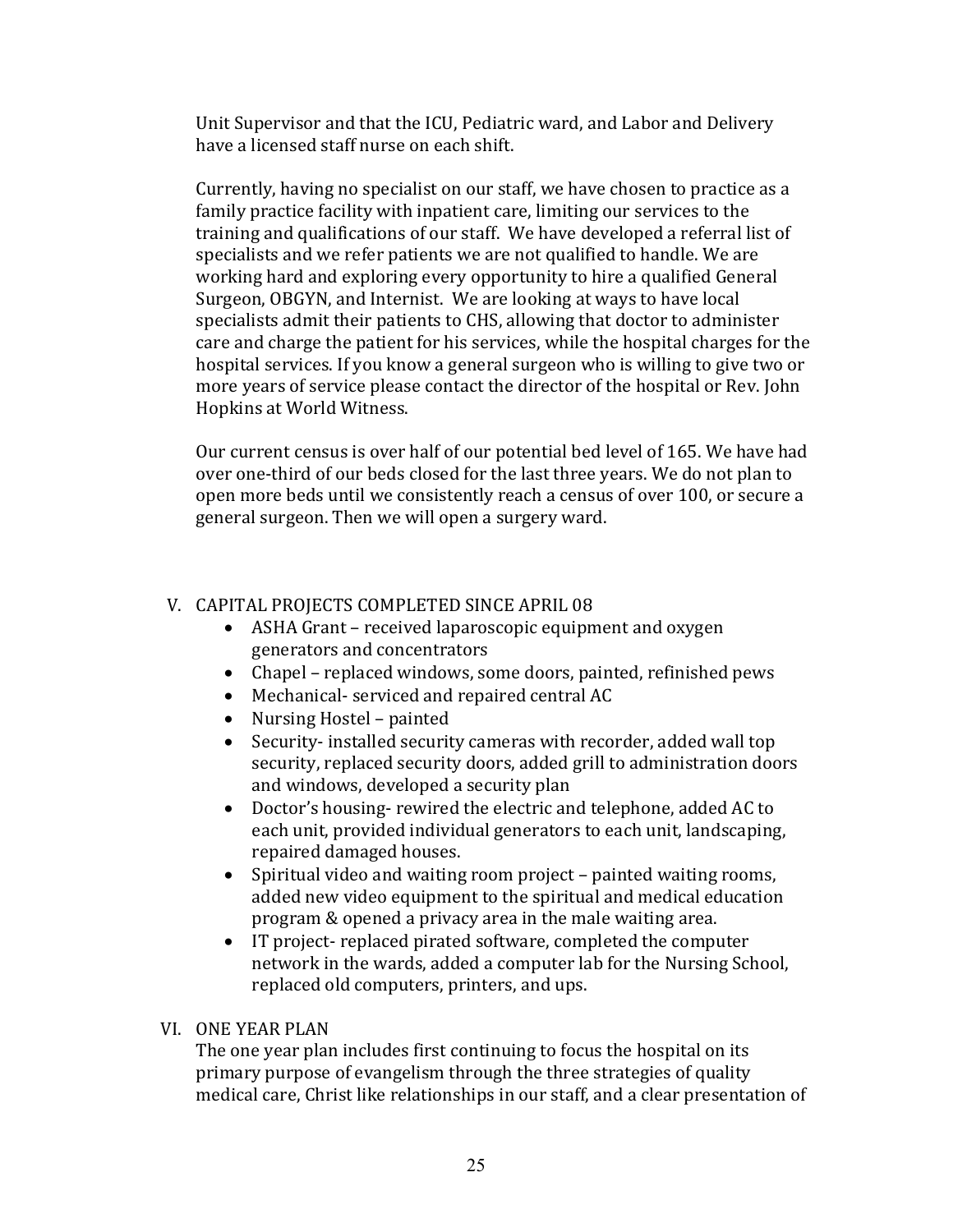Unit Supervisor and that the ICU, Pediatric ward, and Labor and Delivery have a licensed staff nurse on each shift.

Currently, having no specialist on our staff, we have chosen to practice as a family practice facility with inpatient care, limiting our services to the training and qualifications of our staff. We have developed a referral list of specialists and we refer patients we are not qualified to handle. We are working hard and exploring every opportunity to hire a qualified General Surgeon, OBGYN, and Internist. We are looking at ways to have local specialists admit their patients to CHS, allowing that doctor to administer care and charge the patient for his services, while the hospital charges for the hospital services. If you know a general surgeon who is willing to give two or more years of service please contact the director of the hospital or Rev. John Hopkins at World Witness.

Our current census is over half of our potential bed level of 165. We have had over one-third of our beds closed for the last three years. We do not plan to open more beds until we consistently reach a census of over 100, or secure a general surgeon. Then we will open a surgery ward.

## V. CAPITAL PROJECTS COMPLETED SINCE APRIL 08

- ASHA Grant received laparoscopic equipment and oxygen generators and concentrators
- Chapel replaced windows, some doors, painted, refinished pews
- Mechanical- serviced and repaired central AC
- Nursing Hostel painted
- Security- installed security cameras with recorder, added wall top security, replaced security doors, added grill to administration doors and windows, developed a security plan
- Doctor's housing- rewired the electric and telephone, added AC to each unit, provided individual generators to each unit, landscaping, repaired damaged houses.
- Spiritual video and waiting room project painted waiting rooms, added new video equipment to the spiritual and medical education program & opened a privacy area in the male waiting area.
- IT project- replaced pirated software, completed the computer network in the wards, added a computer lab for the Nursing School, replaced old computers, printers, and ups.

### VI. ONE YEAR PLAN

The one year plan includes first continuing to focus the hospital on its primary purpose of evangelism through the three strategies of quality medical care, Christ like relationships in our staff, and a clear presentation of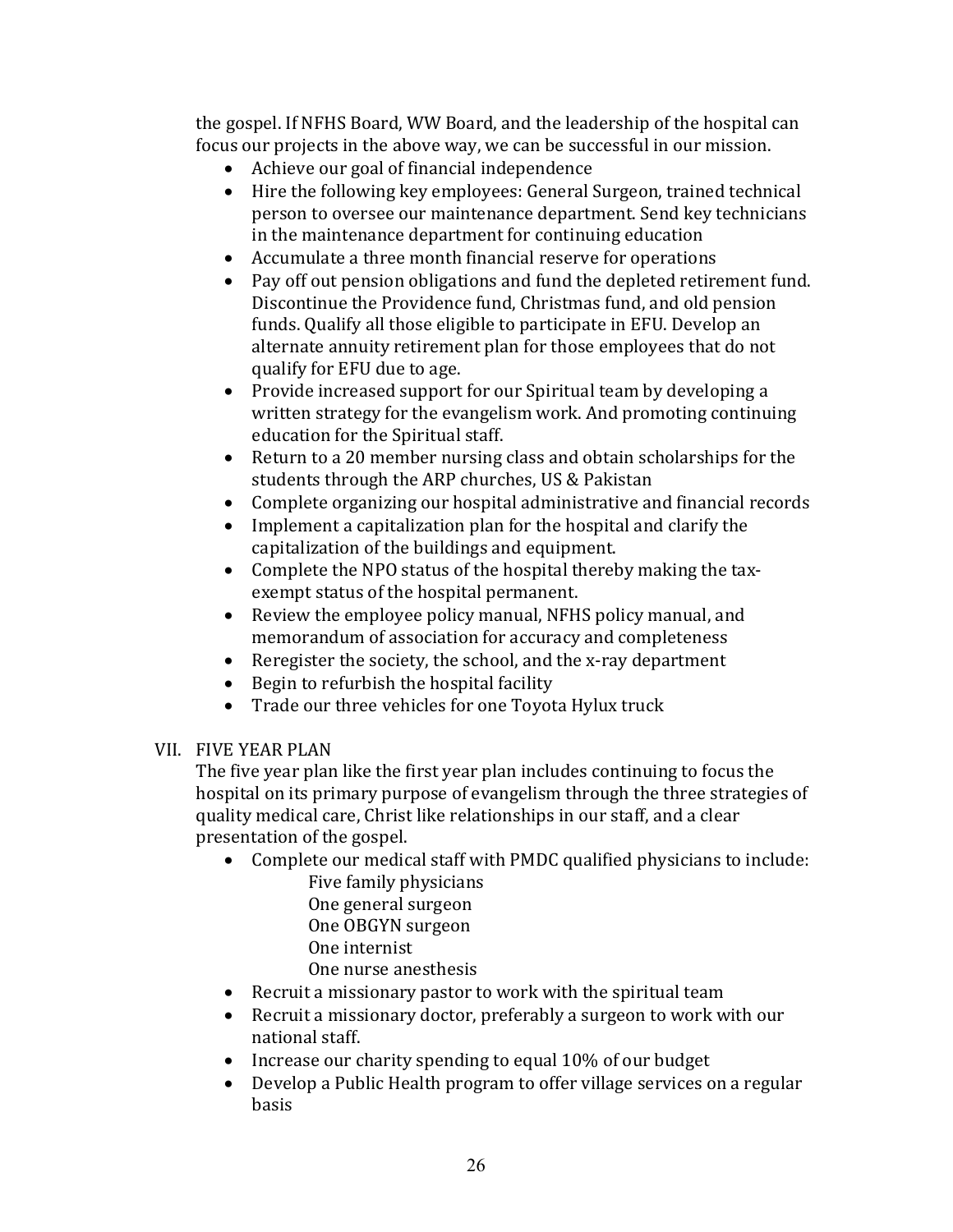the gospel. If NFHS Board, WW Board, and the leadership of the hospital can focus our projects in the above way, we can be successful in our mission.

- Achieve our goal of financial independence
- Hire the following key employees: General Surgeon, trained technical person to oversee our maintenance department. Send key technicians in the maintenance department for continuing education
- Accumulate a three month financial reserve for operations
- Pay off out pension obligations and fund the depleted retirement fund. Discontinue the Providence fund, Christmas fund, and old pension funds. Qualify all those eligible to participate in EFU. Develop an alternate annuity retirement plan for those employees that do not qualify for EFU due to age.
- Provide increased support for our Spiritual team by developing a written strategy for the evangelism work. And promoting continuing education for the Spiritual staff.
- Return to a 20 member nursing class and obtain scholarships for the students through the ARP churches, US & Pakistan
- Complete organizing our hospital administrative and financial records
- Implement a capitalization plan for the hospital and clarify the capitalization of the buildings and equipment.
- Complete the NPO status of the hospital thereby making the taxexempt status of the hospital permanent.
- Review the employee policy manual, NFHS policy manual, and memorandum of association for accuracy and completeness
- Reregister the society, the school, and the x-ray department
- Begin to refurbish the hospital facility
- Trade our three vehicles for one Toyota Hylux truck

## VII. FIVE YEAR PLAN

The five year plan like the first year plan includes continuing to focus the hospital on its primary purpose of evangelism through the three strategies of quality medical care, Christ like relationships in our staff, and a clear presentation of the gospel.

- Complete our medical staff with PMDC qualified physicians to include: Five family physicians
	- One general surgeon
	- One OBGYN surgeon
	- One internist

One nurse anesthesis

- Recruit a missionary pastor to work with the spiritual team
- Recruit a missionary doctor, preferably a surgeon to work with our national staff.
- Increase our charity spending to equal 10% of our budget
- Develop a Public Health program to offer village services on a regular basis